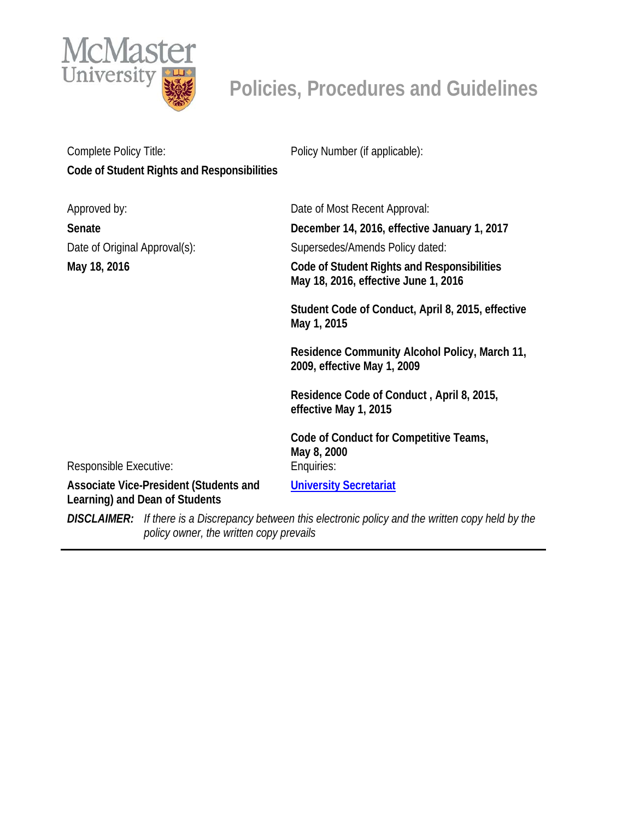

# **Policies, Procedures and Guidelines**

| Complete Policy Title:                                                   |                                                                                                                                      | Policy Number (if applicable):                                                      |  |
|--------------------------------------------------------------------------|--------------------------------------------------------------------------------------------------------------------------------------|-------------------------------------------------------------------------------------|--|
| Code of Student Rights and Responsibilities                              |                                                                                                                                      |                                                                                     |  |
| Approved by:                                                             |                                                                                                                                      | Date of Most Recent Approval:                                                       |  |
| Senate                                                                   |                                                                                                                                      | December 14, 2016, effective January 1, 2017                                        |  |
| Date of Original Approval(s):                                            |                                                                                                                                      | Supersedes/Amends Policy dated:                                                     |  |
| May 18, 2016                                                             |                                                                                                                                      | Code of Student Rights and Responsibilities<br>May 18, 2016, effective June 1, 2016 |  |
|                                                                          |                                                                                                                                      | Student Code of Conduct, April 8, 2015, effective<br>May 1, 2015                    |  |
|                                                                          |                                                                                                                                      | Residence Community Alcohol Policy, March 11,<br>2009, effective May 1, 2009        |  |
|                                                                          |                                                                                                                                      | Residence Code of Conduct, April 8, 2015,<br>effective May 1, 2015                  |  |
| Responsible Executive:                                                   |                                                                                                                                      | Code of Conduct for Competitive Teams,<br>May 8, 2000<br>Enquiries:                 |  |
| Associate Vice-President (Students and<br>Learning) and Dean of Students |                                                                                                                                      | <b>University Secretariat</b>                                                       |  |
| <b>DISCLAIMER:</b>                                                       | If there is a Discrepancy between this electronic policy and the written copy held by the<br>policy owner, the written copy prevails |                                                                                     |  |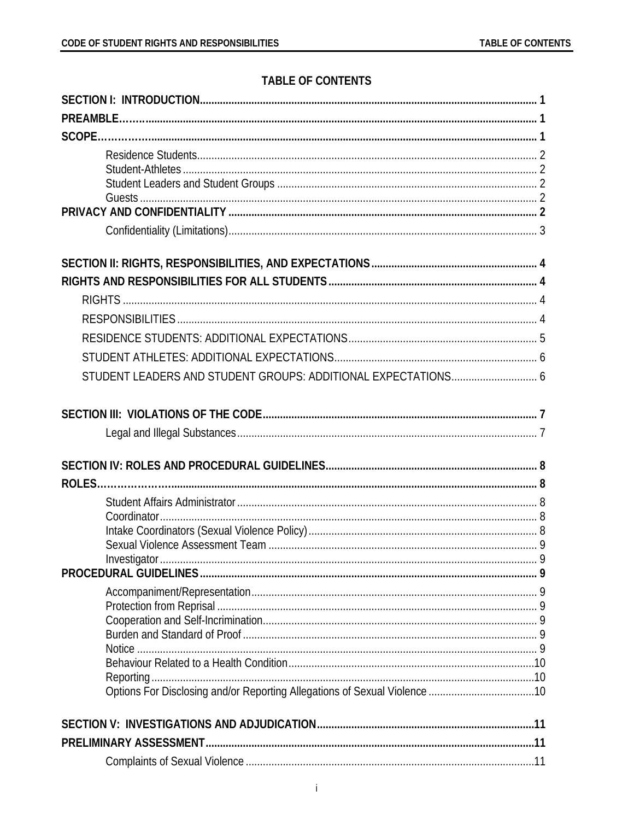# **TABLE OF CONTENTS**

| STUDENT LEADERS AND STUDENT GROUPS: ADDITIONAL EXPECTATIONS 6 |  |  |  |
|---------------------------------------------------------------|--|--|--|
|                                                               |  |  |  |
|                                                               |  |  |  |
|                                                               |  |  |  |
|                                                               |  |  |  |
|                                                               |  |  |  |
|                                                               |  |  |  |
|                                                               |  |  |  |
|                                                               |  |  |  |
|                                                               |  |  |  |
|                                                               |  |  |  |
|                                                               |  |  |  |
|                                                               |  |  |  |
|                                                               |  |  |  |
|                                                               |  |  |  |
|                                                               |  |  |  |
|                                                               |  |  |  |
|                                                               |  |  |  |
|                                                               |  |  |  |
|                                                               |  |  |  |
|                                                               |  |  |  |
|                                                               |  |  |  |
|                                                               |  |  |  |
|                                                               |  |  |  |
|                                                               |  |  |  |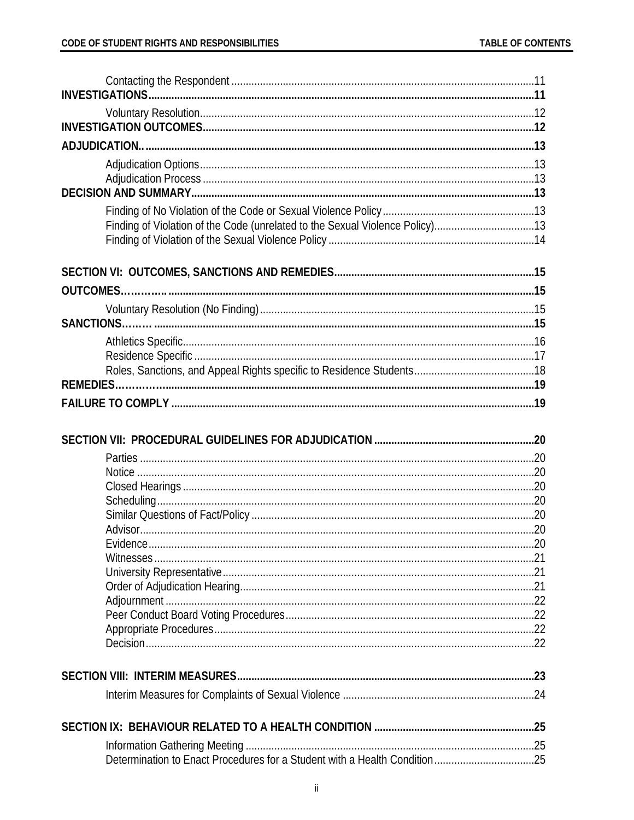| Finding of Violation of the Code (unrelated to the Sexual Violence Policy)13 |  |
|------------------------------------------------------------------------------|--|
|                                                                              |  |
|                                                                              |  |
| <b>OUTCOMES</b>                                                              |  |
|                                                                              |  |
|                                                                              |  |
|                                                                              |  |
|                                                                              |  |
|                                                                              |  |
|                                                                              |  |
|                                                                              |  |
|                                                                              |  |
|                                                                              |  |
|                                                                              |  |
|                                                                              |  |
|                                                                              |  |
|                                                                              |  |
|                                                                              |  |
|                                                                              |  |
|                                                                              |  |
|                                                                              |  |
|                                                                              |  |
|                                                                              |  |
|                                                                              |  |
|                                                                              |  |
|                                                                              |  |
|                                                                              |  |
|                                                                              |  |
|                                                                              |  |
|                                                                              |  |
|                                                                              |  |
|                                                                              |  |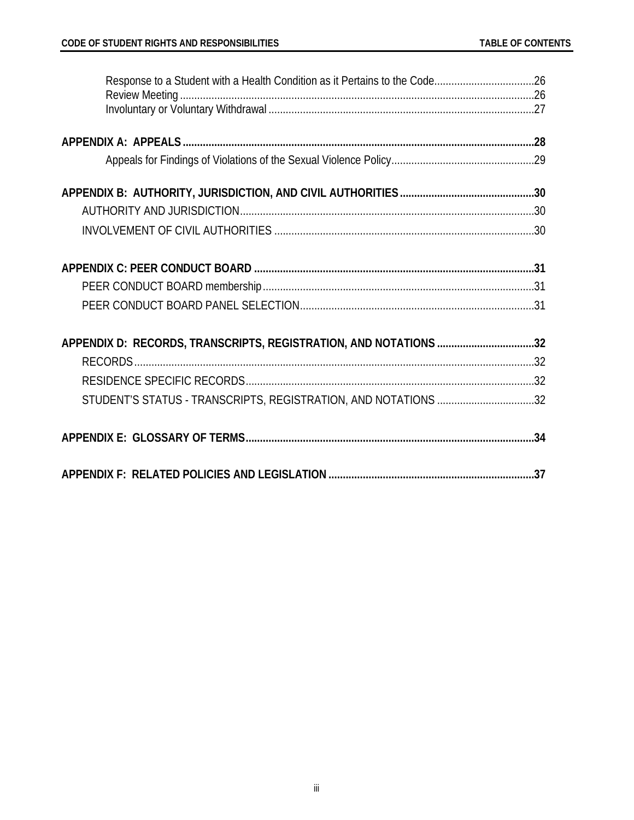| Response to a Student with a Health Condition as it Pertains to the Code26 |  |
|----------------------------------------------------------------------------|--|
|                                                                            |  |
|                                                                            |  |
|                                                                            |  |
|                                                                            |  |
|                                                                            |  |
|                                                                            |  |
|                                                                            |  |
|                                                                            |  |
|                                                                            |  |
| APPENDIX D: RECORDS, TRANSCRIPTS, REGISTRATION, AND NOTATIONS 32           |  |
|                                                                            |  |
|                                                                            |  |
| STUDENT'S STATUS - TRANSCRIPTS, REGISTRATION, AND NOTATIONS 32             |  |
|                                                                            |  |
|                                                                            |  |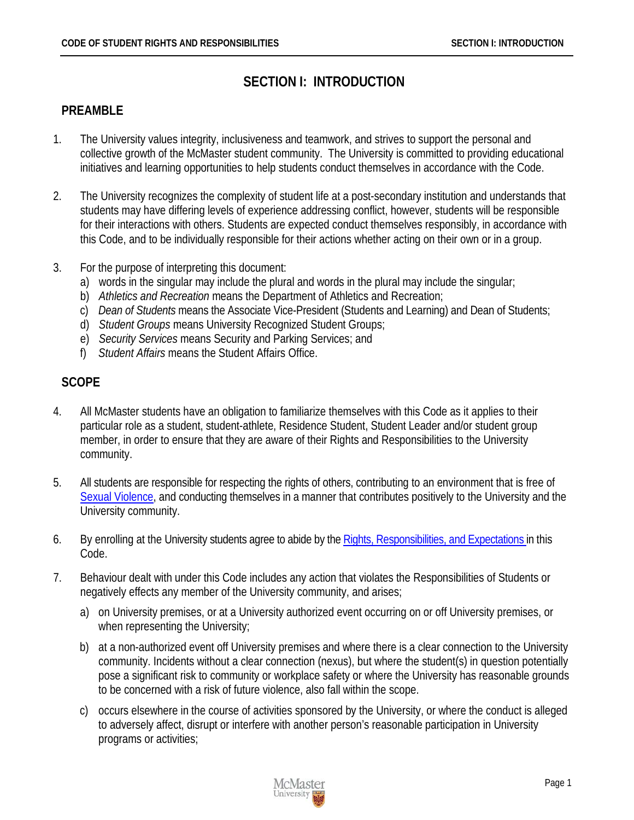# **SECTION I: INTRODUCTION**

### <span id="page-4-1"></span><span id="page-4-0"></span>**PREAMBLE**

- 1. The University values integrity, inclusiveness and teamwork, and strives to support the personal and collective growth of the McMaster student community. The University is committed to providing educational initiatives and learning opportunities to help students conduct themselves in accordance with the Code.
- 2. The University recognizes the complexity of student life at a post-secondary institution and understands that students may have differing levels of experience addressing conflict, however, students will be responsible for their interactions with others. Students are expected conduct themselves responsibly, in accordance with this Code, and to be individually responsible for their actions whether acting on their own or in a group.
- 3. For the purpose of interpreting this document:
	- a) words in the singular may include the plural and words in the plural may include the singular;
	- b) *Athletics and Recreation* means the Department of Athletics and Recreation;
	- c) *Dean of Students* means the Associate Vice-President (Students and Learning) and Dean of Students;
	- d) *Student Groups* means University Recognized Student Groups;
	- e) *Security Services* means Security and Parking Services; and
	- f) *Student Affairs* means the Student Affairs Office.

# <span id="page-4-2"></span>**SCOPE**

- 4. All McMaster students have an obligation to familiarize themselves with this Code as it applies to their particular role as a student, student-athlete, Residence Student, Student Leader and/or student group member, in order to ensure that they are aware of their Rights and Responsibilities to the University community.
- 5. All students are responsible for respecting the rights of others, contributing to an environment that is free of [Sexual Violence,](#page-39-0) and conducting themselves in a manner that contributes positively to the University and the University community.
- 6. By enrolling at the University students agree to abide by the [Rights, Responsibilities, and Expectations in](#page-7-1) this Code.
- 7. Behaviour dealt with under this Code includes any action that violates the Responsibilities of Students or negatively effects any member of the University community, and arises;
	- a) on University premises, or at a University authorized event occurring on or off University premises, or when representing the University;
	- b) at a non-authorized event off University premises and where there is a clear connection to the University community. Incidents without a clear connection (nexus), but where the student(s) in question potentially pose a significant risk to community or workplace safety or where the University has reasonable grounds to be concerned with a risk of future violence, also fall within the scope.
	- c) occurs elsewhere in the course of activities sponsored by the University, or where the conduct is alleged to adversely affect, disrupt or interfere with another person's reasonable participation in University programs or activities;

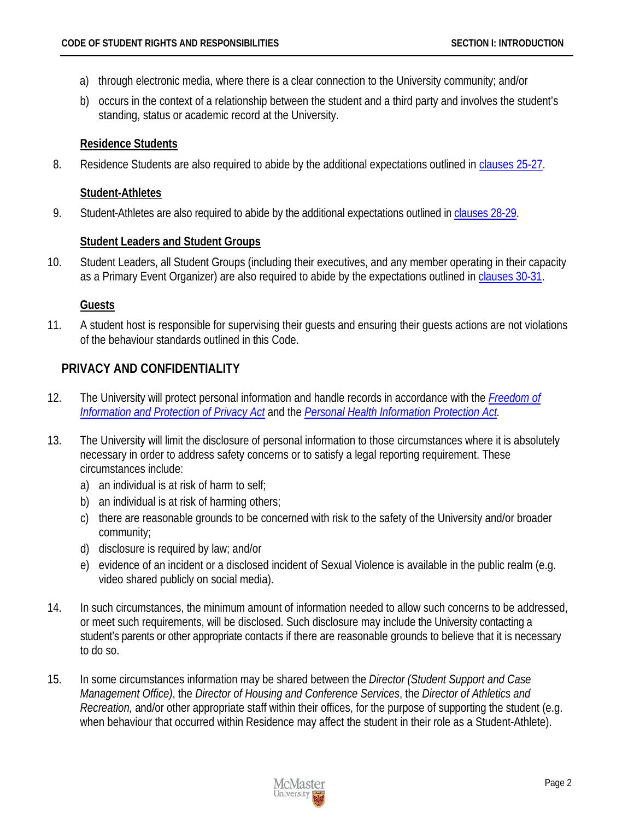- a) through electronic media, where there is a clear connection to the University community; and/or
- b) occurs in the context of a relationship between the student and a third party and involves the student's standing, status or academic record at the University.

### <span id="page-5-0"></span>**Residence Students**

8. Residence Students are also required to abide by the additional expectations outlined i[n clauses 25-27.](#page-8-0)

# <span id="page-5-1"></span>**Student-Athletes**

9. Student-Athletes are also required to abide by the additional expectations outlined in [clauses 28-29.](#page-9-0)

# <span id="page-5-2"></span>**Student Leaders and Student Groups**

10. Student Leaders, all Student Groups (including their executives, and any member operating in their capacity as a Primary Event Organizer) are also required to abide by the expectations outlined in [clauses 30-31.](#page-9-1)

# <span id="page-5-3"></span>**Guests**

11. A student host is responsible for supervising their guests and ensuring their guests actions are not violations of the behaviour standards outlined in this Code.

# <span id="page-5-4"></span>**PRIVACY AND CONFIDENTIALITY**

- 12. The University will protect personal information and handle records in accordance with the *[Freedom of](http://www.e-laws.gov.on.ca/html/statutes/english/elaws_statutes_90f31_e.htm)  [Information and Protection of Privacy Act](http://www.e-laws.gov.on.ca/html/statutes/english/elaws_statutes_90f31_e.htm)* and the *[Personal Health Information Protection Act.](http://www.e-laws.gov.on.ca/html/statutes/english/elaws_statutes_04p03_e.htm)*
- 13. The University will limit the disclosure of personal information to those circumstances where it is absolutely necessary in order to address safety concerns or to satisfy a legal reporting requirement. These circumstances include:
	- a) an individual is at risk of harm to self;
	- b) an individual is at risk of harming others;
	- c) there are reasonable grounds to be concerned with risk to the safety of the University and/or broader community;
	- d) disclosure is required by law; and/or
	- e) evidence of an incident or a disclosed incident of Sexual Violence is available in the public realm (e.g. video shared publicly on social media).
- 14. In such circumstances, the minimum amount of information needed to allow such concerns to be addressed, or meet such requirements, will be disclosed. Such disclosure may include the University contacting a student's parents or other appropriate contacts if there are reasonable grounds to believe that it is necessary to do so.
- 15. In some circumstances information may be shared between the *Director (Student Support and Case Management Office)*, the *Director of Housing and Conference Services*, the *Director of Athletics and Recreation,* and/or other appropriate staff within their offices, for the purpose of supporting the student (e.g. when behaviour that occurred within Residence may affect the student in their role as a Student-Athlete).

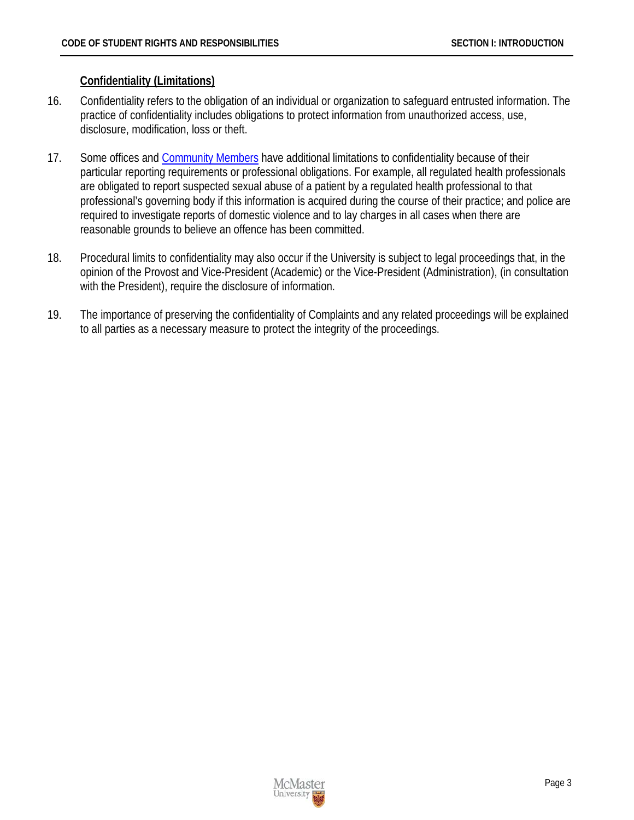#### <span id="page-6-0"></span>**Confidentiality (Limitations)**

- 16. Confidentiality refers to the obligation of an individual or organization to safeguard entrusted information. The practice of confidentiality includes obligations to protect information from unauthorized access, use, disclosure, modification, loss or theft.
- 17. Some offices and [Community Members](#page-37-1) have additional limitations to confidentiality because of their particular reporting requirements or professional obligations. For example, all regulated health professionals are obligated to report suspected sexual abuse of a patient by a regulated health professional to that professional's governing body if this information is acquired during the course of their practice; and police are required to investigate reports of domestic violence and to lay charges in all cases when there are reasonable grounds to believe an offence has been committed.
- 18. Procedural limits to confidentiality may also occur if the University is subject to legal proceedings that, in the opinion of the Provost and Vice-President (Academic) or the Vice-President (Administration), (in consultation with the President), require the disclosure of information.
- 19. The importance of preserving the confidentiality of Complaints and any related proceedings will be explained to all parties as a necessary measure to protect the integrity of the proceedings.

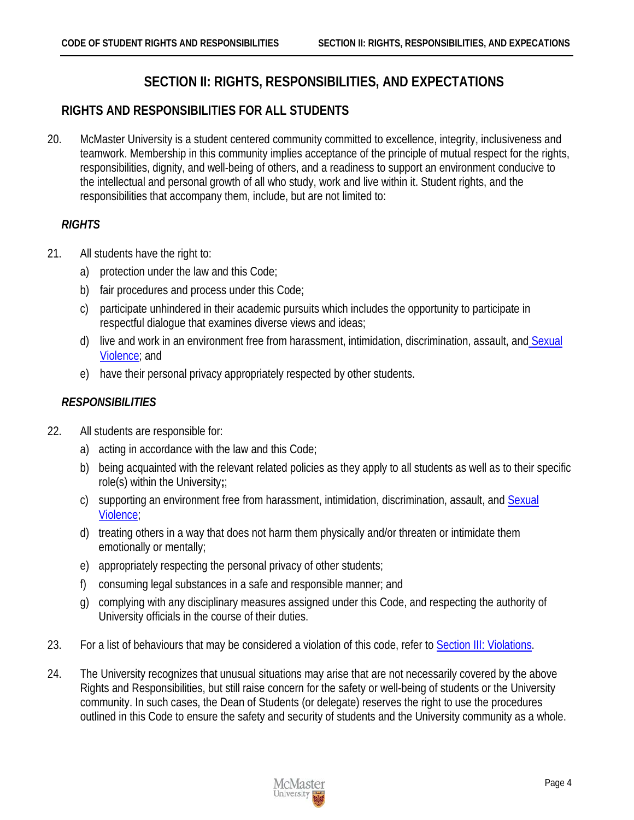# **SECTION II: RIGHTS, RESPONSIBILITIES, AND EXPECTATIONS**

# <span id="page-7-1"></span><span id="page-7-0"></span>**RIGHTS AND RESPONSIBILITIES FOR ALL STUDENTS**

20. McMaster University is a student centered community committed to excellence, integrity, inclusiveness and teamwork. Membership in this community implies acceptance of the principle of mutual respect for the rights, responsibilities, dignity, and well-being of others, and a readiness to support an environment conducive to the intellectual and personal growth of all who study, work and live within it. Student rights, and the responsibilities that accompany them, include, but are not limited to:

# <span id="page-7-2"></span>*RIGHTS*

- 21. All students have the right to:
	- a) protection under the law and this Code;
	- b) fair procedures and process under this Code;
	- c) participate unhindered in their academic pursuits which includes the opportunity to participate in respectful dialogue that examines diverse views and ideas;
	- d) live and work in an environment free from harassment, intimidation, discrimination, assault, and Sexual [Violence;](#page-39-0) and
	- e) have their personal privacy appropriately respected by other students.

### <span id="page-7-3"></span>*RESPONSIBILITIES*

- 22. All students are responsible for:
	- a) acting in accordance with the law and this Code;
	- b) being acquainted with the relevant related policies as they apply to all students as well as to their specific role(s) within the University**;**;
	- c) supporting an environment free from harassment, intimidation, discrimination, assault, and Sexual [Violence;](#page-39-0)
	- d) treating others in a way that does not harm them physically and/or threaten or intimidate them emotionally or mentally;
	- e) appropriately respecting the personal privacy of other students;
	- f) consuming legal substances in a safe and responsible manner; and
	- g) complying with any disciplinary measures assigned under this Code, and respecting the authority of University officials in the course of their duties.
- 23. For a list of behaviours that may be considered a violation of this code, refer to [Section III: Violations.](#page-10-0)
- 24. The University recognizes that unusual situations may arise that are not necessarily covered by the above Rights and Responsibilities, but still raise concern for the safety or well-being of students or the University community. In such cases, the Dean of Students (or delegate) reserves the right to use the procedures outlined in this Code to ensure the safety and security of students and the University community as a whole.

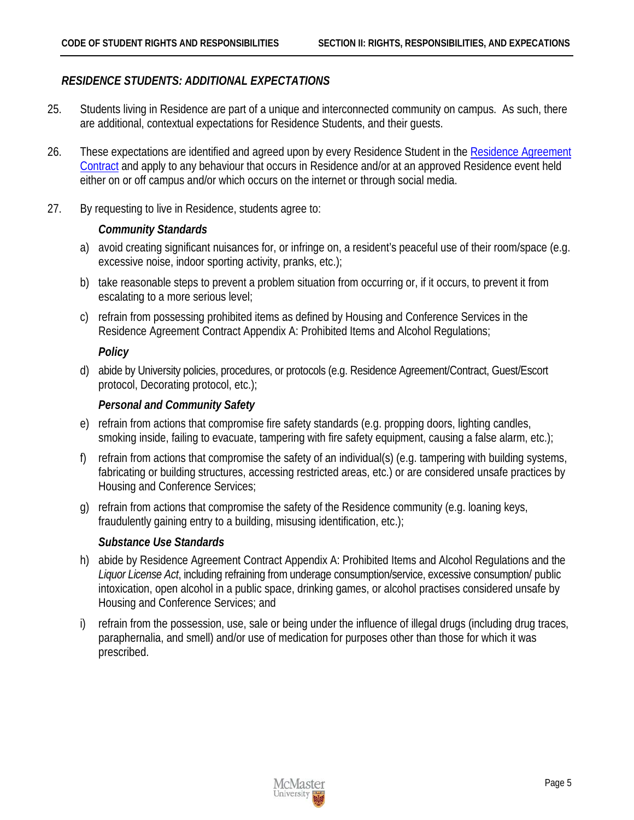#### <span id="page-8-0"></span>*RESIDENCE STUDENTS: ADDITIONAL EXPECTATIONS*

- 25. Students living in Residence are part of a unique and interconnected community on campus. As such, there are additional, contextual expectations for Residence Students, and their guests.
- 26. These expectations are identified and agreed upon by every Residence Student in the [Residence Agreement](http://housing.mcmaster.ca/residence_admissions/Res_Agreement_Contract.html)  [Contract](http://housing.mcmaster.ca/residence_admissions/Res_Agreement_Contract.html) and apply to any behaviour that occurs in Residence and/or at an approved Residence event held either on or off campus and/or which occurs on the internet or through social media.
- 27. By requesting to live in Residence, students agree to:

#### *Community Standards*

- a) avoid creating significant nuisances for, or infringe on, a resident's peaceful use of their room/space (e.g. excessive noise, indoor sporting activity, pranks, etc.);
- b) take reasonable steps to prevent a problem situation from occurring or, if it occurs, to prevent it from escalating to a more serious level;
- c) refrain from possessing prohibited items as defined by Housing and Conference Services in the Residence Agreement Contract Appendix A: Prohibited Items and Alcohol Regulations;

#### *Policy*

d) abide by University policies, procedures, or protocols (e.g. Residence Agreement/Contract, Guest/Escort protocol, Decorating protocol, etc.);

#### *Personal and Community Safety*

- e) refrain from actions that compromise fire safety standards (e.g. propping doors, lighting candles, smoking inside, failing to evacuate, tampering with fire safety equipment, causing a false alarm, etc.);
- f) refrain from actions that compromise the safety of an individual(s) (e.g. tampering with building systems, fabricating or building structures, accessing restricted areas, etc.) or are considered unsafe practices by Housing and Conference Services;
- g) refrain from actions that compromise the safety of the Residence community (e.g. loaning keys, fraudulently gaining entry to a building, misusing identification, etc.);

#### *Substance Use Standards*

- h) abide by Residence Agreement Contract Appendix A: Prohibited Items and Alcohol Regulations and the *Liquor License Act*, including refraining from underage consumption/service, excessive consumption/ public intoxication, open alcohol in a public space, drinking games, or alcohol practises considered unsafe by Housing and Conference Services; and
- i) refrain from the possession, use, sale or being under the influence of illegal drugs (including drug traces, paraphernalia, and smell) and/or use of medication for purposes other than those for which it was prescribed.

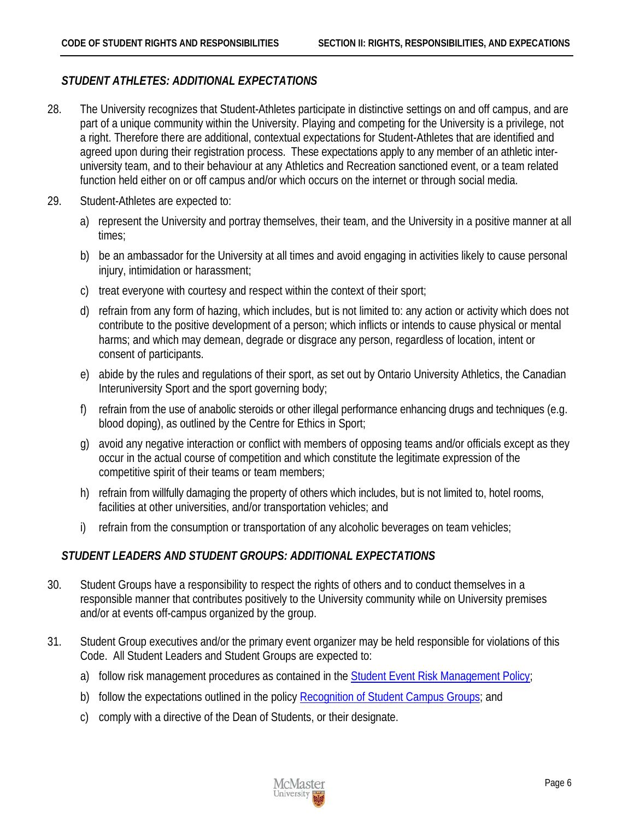#### <span id="page-9-0"></span>*STUDENT ATHLETES: ADDITIONAL EXPECTATIONS*

- 28. The University recognizes that Student-Athletes participate in distinctive settings on and off campus, and are part of a unique community within the University. Playing and competing for the University is a privilege, not a right. Therefore there are additional, contextual expectations for Student-Athletes that are identified and agreed upon during their registration process. These expectations apply to any member of an athletic interuniversity team, and to their behaviour at any Athletics and Recreation sanctioned event, or a team related function held either on or off campus and/or which occurs on the internet or through social media.
- 29. Student-Athletes are expected to:
	- a) represent the University and portray themselves, their team, and the University in a positive manner at all times;
	- b) be an ambassador for the University at all times and avoid engaging in activities likely to cause personal injury, intimidation or harassment;
	- c) treat everyone with courtesy and respect within the context of their sport;
	- d) refrain from any form of hazing, which includes, but is not limited to: any action or activity which does not contribute to the positive development of a person; which inflicts or intends to cause physical or mental harms; and which may demean, degrade or disgrace any person, regardless of location, intent or consent of participants.
	- e) abide by the rules and regulations of their sport, as set out by Ontario University Athletics, the Canadian Interuniversity Sport and the sport governing body;
	- f) refrain from the use of anabolic steroids or other illegal performance enhancing drugs and techniques (e.g. blood doping), as outlined by the Centre for Ethics in Sport;
	- g) avoid any negative interaction or conflict with members of opposing teams and/or officials except as they occur in the actual course of competition and which constitute the legitimate expression of the competitive spirit of their teams or team members;
	- h) refrain from willfully damaging the property of others which includes, but is not limited to, hotel rooms, facilities at other universities, and/or transportation vehicles; and
	- i) refrain from the consumption or transportation of any alcoholic beverages on team vehicles;

#### <span id="page-9-1"></span>*STUDENT LEADERS AND STUDENT GROUPS: ADDITIONAL EXPECTATIONS*

- 30. Student Groups have a responsibility to respect the rights of others and to conduct themselves in a responsible manner that contributes positively to the University community while on University premises and/or at events off-campus organized by the group.
- 31. Student Group executives and/or the primary event organizer may be held responsible for violations of this Code. All Student Leaders and Student Groups are expected to:
	- a) follow risk management procedures as contained in the [Student Event Risk Management Policy;](http://www.mcmaster.ca/policy/Students-AcademicStudies/StudentEventRiskMgmt.pdf)
	- b) follow the expectations outlined in the policy [Recognition of Student Campus Groups;](http://www.mcmaster.ca/policy/Students-AcademicStudies/StudentGroupRecognition.pdf) and
	- c) comply with a directive of the Dean of Students, or their designate.

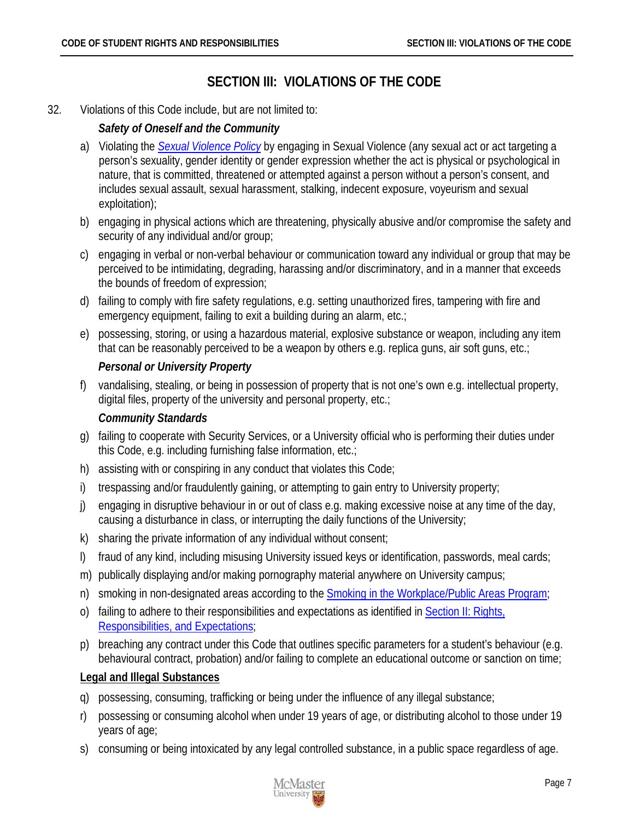# **SECTION III: VIOLATIONS OF THE CODE**

#### <span id="page-10-0"></span>32. Violations of this Code include, but are not limited to:

### *Safety of Oneself and the Community*

- a) Violating the *[Sexual Violence Policy](http://www.mcmaster.ca/policy/General/HR/Sexual_Violence_Policy.pdf)* by engaging in Sexual Violence (any sexual act or act targeting a person's sexuality, gender identity or gender expression whether the act is physical or psychological in nature, that is committed, threatened or attempted against a person without a person's consent, and includes sexual assault, sexual harassment, stalking, indecent exposure, voyeurism and sexual exploitation);
- b) engaging in physical actions which are threatening, physically abusive and/or compromise the safety and security of any individual and/or group;
- c) engaging in verbal or non-verbal behaviour or communication toward any individual or group that may be perceived to be intimidating, degrading, harassing and/or discriminatory, and in a manner that exceeds the bounds of freedom of expression;
- d) failing to comply with fire safety regulations, e.g. setting unauthorized fires, tampering with fire and emergency equipment, failing to exit a building during an alarm, etc.;
- e) possessing, storing, or using a hazardous material, explosive substance or weapon, including any item that can be reasonably perceived to be a weapon by others e.g. replica guns, air soft guns, etc.;

### *Personal or University Property*

f) vandalising, stealing, or being in possession of property that is not one's own e.g. intellectual property, digital files, property of the university and personal property, etc.;

#### *Community Standards*

- g) failing to cooperate with Security Services, or a University official who is performing their duties under this Code, e.g. including furnishing false information, etc.;
- h) assisting with or conspiring in any conduct that violates this Code;
- i) trespassing and/or fraudulently gaining, or attempting to gain entry to University property;
- j) engaging in disruptive behaviour in or out of class e.g. making excessive noise at any time of the day, causing a disturbance in class, or interrupting the daily functions of the University;
- k) sharing the private information of any individual without consent;
- l) fraud of any kind, including misusing University issued keys or identification, passwords, meal cards;
- m) publically displaying and/or making pornography material anywhere on University campus;
- n) smoking in non-designated areas according to the **Smoking in the Workplace/Public Areas Program**;
- o) failing to adhere to their responsibilities and expectations as identified in [Section II: Rights,](#page-7-0)  [Responsibilities, and Expectations;](#page-7-0)
- p) breaching any contract under this Code that outlines specific parameters for a student's behaviour (e.g. behavioural contract, probation) and/or failing to complete an educational outcome or sanction on time;

#### <span id="page-10-1"></span>**Legal and Illegal Substances**

- q) possessing, consuming, trafficking or being under the influence of any illegal substance;
- r) possessing or consuming alcohol when under 19 years of age, or distributing alcohol to those under 19 years of age;
- s) consuming or being intoxicated by any legal controlled substance, in a public space regardless of age.

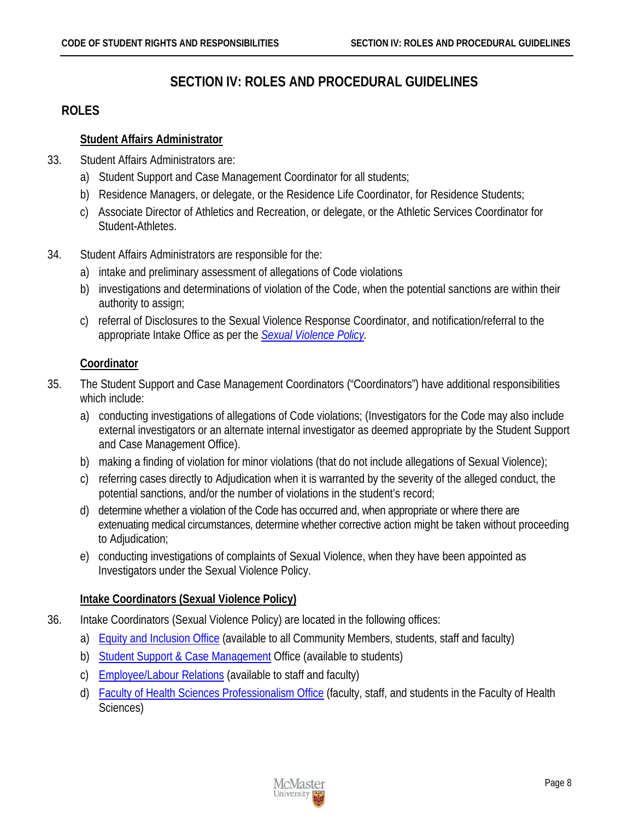# **SECTION IV: ROLES AND PROCEDURAL GUIDELINES**

# <span id="page-11-1"></span><span id="page-11-0"></span>**ROLES**

### <span id="page-11-2"></span>**Student Affairs Administrator**

- 33. Student Affairs Administrators are:
	- a) Student Support and Case Management Coordinator for all students;
	- b) Residence Managers, or delegate, or the Residence Life Coordinator, for Residence Students;
	- c) Associate Director of Athletics and Recreation, or delegate, or the Athletic Services Coordinator for Student-Athletes.
- 34. Student Affairs Administrators are responsible for the:
	- a) intake and preliminary assessment of allegations of Code violations
	- b) investigations and determinations of violation of the Code, when the potential sanctions are within their authority to assign;
	- c) referral of Disclosures to the Sexual Violence Response Coordinator, and notification/referral to the appropriate Intake Office as per the *[Sexual Violence Policy.](http://www.mcmaster.ca/policy/General/HR/Sexual_Violence_Policy.pdf)*

# <span id="page-11-3"></span>**Coordinator**

- 35. The Student Support and Case Management Coordinators ("Coordinators") have additional responsibilities which include:
	- a) conducting investigations of allegations of Code violations; (Investigators for the Code may also include external investigators or an alternate internal investigator as deemed appropriate by the Student Support and Case Management Office).
	- b) making a finding of violation for minor violations (that do not include allegations of Sexual Violence);
	- c) referring cases directly to Adjudication when it is warranted by the severity of the alleged conduct, the potential sanctions, and/or the number of violations in the student's record;
	- d) determine whether a violation of the Code has occurred and, when appropriate or where there are extenuating medical circumstances, determine whether corrective action might be taken without proceeding to Adjudication;
	- e) conducting investigations of complaints of Sexual Violence, when they have been appointed as Investigators under the Sexual Violence Policy.

# <span id="page-11-4"></span>**Intake Coordinators (Sexual Violence Policy)**

- 36. Intake Coordinators (Sexual Violence Policy) are located in the following offices:
	- a) [Equity and Inclusion Office](http://hres.mcmaster.ca/) (available to all Community Members, students, staff and faculty)
	- b) [Student Support & Case Management](http://studentconduct.mcmaster.ca/) Office (available to students)
	- c) [Employee/Labour Relations](http://www.workingatmcmaster.ca/elr/index.php) (available to staff and faculty)
	- d) [Faculty of Health Sciences Professionalism Office](https://fhs.mcmaster.ca/pcbe/) (faculty, staff, and students in the Faculty of Health Sciences)

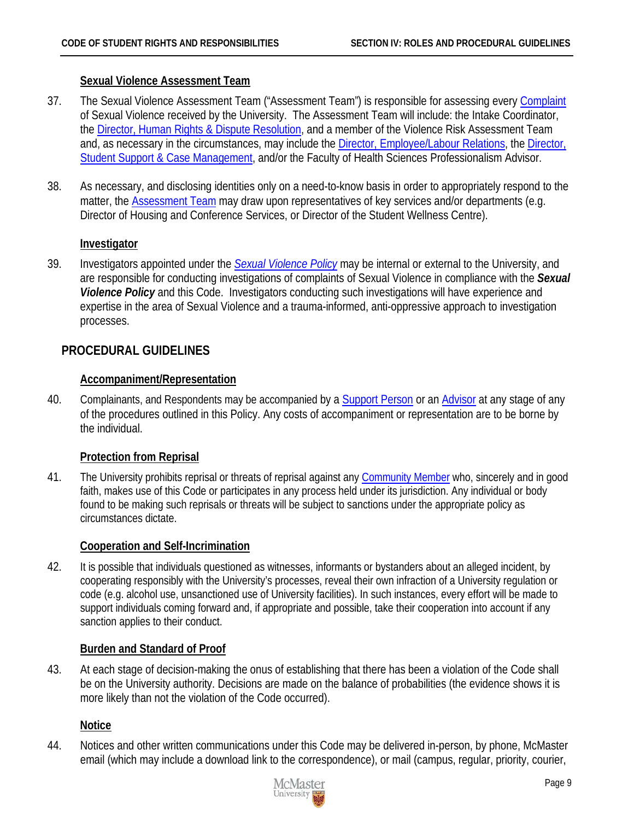#### <span id="page-12-0"></span>**Sexual Violence Assessment Team**

- 37. The Sexual Violence Assessment Team ("Assessment Team") is responsible for assessing every Complaint of Sexual Violence received by the University. The Assessment Team will include: the Intake Coordinator, the [Director, Human Rights & Dispute Resolution,](http://equity.mcmaster.ca/contact-us) and a member of the Violence Risk Assessment Team and, as necessary in the circumstances, may include the [Director, Employee/Labour Relations,](http://www.workingatmcmaster.ca/elr/index.php) th[e Director,](http://studentconduct.mcmaster.ca/)  [Student Support & Case Management,](http://studentconduct.mcmaster.ca/) and/or the Faculty of Health Sciences Professionalism Advisor.
- 38. As necessary, and disclosing identities only on a need-to-know basis in order to appropriately respond to the matter, the [Assessment Team](#page-12-0) may draw upon representatives of key services and/or departments (e.g. Director of Housing and Conference Services, or Director of the Student Wellness Centre).

#### <span id="page-12-1"></span>**Investigator**

39. Investigators appointed under the *[Sexual Violence Policy](http://www.mcmaster.ca/policy/General/HR/Sexual_Violence_Policy.pdf)* may be internal or external to the University, and are responsible for conducting investigations of complaints of Sexual Violence in compliance with the *Sexual Violence Policy* and this Code. Investigators conducting such investigations will have experience and expertise in the area of Sexual Violence and a trauma-informed, anti-oppressive approach to investigation processes.

### <span id="page-12-2"></span>**PROCEDURAL GUIDELINES**

#### <span id="page-12-3"></span>**Accompaniment/Representation**

40. Complainants, and Respondents may be accompanied by a [Support Person](#page-39-1) or an [Advisor](#page-37-2) at any stage of any of the procedures outlined in this Policy. Any costs of accompaniment or representation are to be borne by the individual.

#### <span id="page-12-4"></span>**Protection from Reprisal**

41. The University prohibits reprisal or threats of reprisal against any [Community Member](#page-37-1) who, sincerely and in good faith, makes use of this Code or participates in any process held under its jurisdiction. Any individual or body found to be making such reprisals or threats will be subject to sanctions under the appropriate policy as circumstances dictate.

#### <span id="page-12-5"></span>**Cooperation and Self-Incrimination**

42. It is possible that individuals questioned as witnesses, informants or bystanders about an alleged incident, by cooperating responsibly with the University's processes, reveal their own infraction of a University regulation or code (e.g. alcohol use, unsanctioned use of University facilities). In such instances, every effort will be made to support individuals coming forward and, if appropriate and possible, take their cooperation into account if any sanction applies to their conduct.

#### <span id="page-12-6"></span>**Burden and Standard of Proof**

43. At each stage of decision-making the onus of establishing that there has been a violation of the Code shall be on the University authority. Decisions are made on the balance of probabilities (the evidence shows it is more likely than not the violation of the Code occurred).

#### <span id="page-12-7"></span>**Notice**

44. Notices and other written communications under this Code may be delivered in-person, by phone, McMaster email (which may include a download link to the correspondence), or mail (campus, regular, priority, courier,

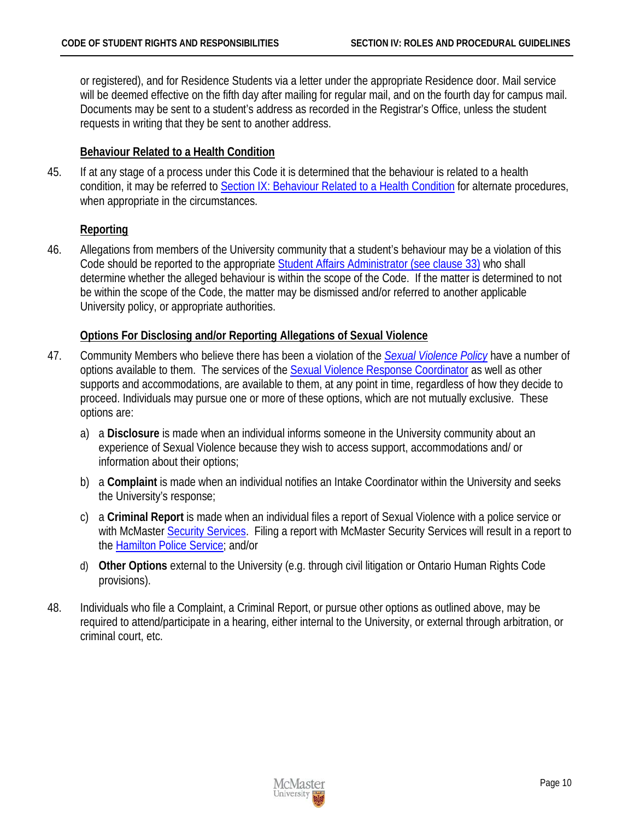or registered), and for Residence Students via a letter under the appropriate Residence door. Mail service will be deemed effective on the fifth day after mailing for regular mail, and on the fourth day for campus mail. Documents may be sent to a student's address as recorded in the Registrar's Office, unless the student requests in writing that they be sent to another address.

#### <span id="page-13-0"></span>**Behaviour Related to a Health Condition**

45. If at any stage of a process under this Code it is determined that the behaviour is related to a health condition, it may be referred to [Section IX: Behaviour Related to a Health Condition](#page-28-0) for alternate procedures, when appropriate in the circumstances.

#### <span id="page-13-1"></span>**Reporting**

46. Allegations from members of the University community that a student's behaviour may be a violation of this Code should be reported to the appropriate [Student Affairs Administrator \(see clause 33\)](#page-11-2) who shall determine whether the alleged behaviour is within the scope of the Code. If the matter is determined to not be within the scope of the Code, the matter may be dismissed and/or referred to another applicable University policy, or appropriate authorities.

#### <span id="page-13-2"></span>**Options For Disclosing and/or Reporting Allegations of Sexual Violence**

- 47. Community Members who believe there has been a violation of the *[Sexual Violence Policy](http://www.mcmaster.ca/policy/General/HR/Sexual_Violence_Policy.pdf)* have a number of options available to them. The services of the [Sexual Violence Response Coordinator](http://svrp.mcmaster.ca/mcmaster-university) as well as other supports and accommodations, are available to them, at any point in time, regardless of how they decide to proceed. Individuals may pursue one or more of these options, which are not mutually exclusive. These options are:
	- a) a **Disclosure** is made when an individual informs someone in the University community about an experience of Sexual Violence because they wish to access support, accommodations and/ or information about their options;
	- b) a **Complaint** is made when an individual notifies an Intake Coordinator within the University and seeks the University's response;
	- c) a **Criminal Report** is made when an individual files a report of Sexual Violence with a police service or with McMaster [Security Services.](http://security.mcmaster.ca/) Filing a report with McMaster Security Services will result in a report to the [Hamilton Police Service;](https://hamiltonpolice.on.ca/) and/or
	- d) **Other Options** external to the University (e.g. through civil litigation or Ontario Human Rights Code provisions).
- 48. Individuals who file a Complaint, a Criminal Report, or pursue other options as outlined above, may be required to attend/participate in a hearing, either internal to the University, or external through arbitration, or criminal court, etc.

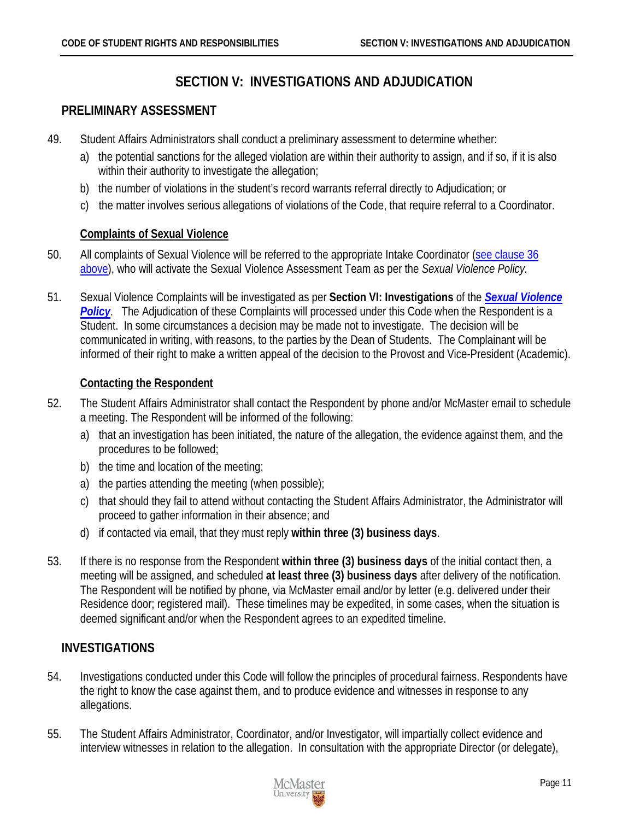# **SECTION V: INVESTIGATIONS AND ADJUDICATION**

### <span id="page-14-1"></span><span id="page-14-0"></span>**PRELIMINARY ASSESSMENT**

- 49. Student Affairs Administrators shall conduct a preliminary assessment to determine whether:
	- a) the potential sanctions for the alleged violation are within their authority to assign, and if so, if it is also within their authority to investigate the allegation;
	- b) the number of violations in the student's record warrants referral directly to Adjudication; or
	- c) the matter involves serious allegations of violations of the Code, that require referral to a Coordinator.

### <span id="page-14-2"></span>**Complaints of Sexual Violence**

- 50. All complaints of Sexual Violence will be referred to the appropriate Intake Coordinator [\(see clause 36](#page-11-4)  [above\)](#page-11-4), who will activate the Sexual Violence Assessment Team as per the *Sexual Violence Policy.*
- 51. Sexual Violence Complaints will be investigated as per **Section VI: Investigations** of the *[Sexual Violence](http://www.mcmaster.ca/policy/General/HR/Sexual_Violence_Policy.pdf)*  **[Policy](http://www.mcmaster.ca/policy/General/HR/Sexual_Violence_Policy.pdf).** The Adjudication of these Complaints will processed under this Code when the Respondent is a Student. In some circumstances a decision may be made not to investigate. The decision will be communicated in writing, with reasons, to the parties by the Dean of Students. The Complainant will be informed of their right to make a written appeal of the decision to the Provost and Vice-President (Academic).

### <span id="page-14-3"></span>**Contacting the Respondent**

- 52. The Student Affairs Administrator shall contact the Respondent by phone and/or McMaster email to schedule a meeting. The Respondent will be informed of the following:
	- a) that an investigation has been initiated, the nature of the allegation, the evidence against them, and the procedures to be followed;
	- b) the time and location of the meeting;
	- a) the parties attending the meeting (when possible);
	- c) that should they fail to attend without contacting the Student Affairs Administrator, the Administrator will proceed to gather information in their absence; and
	- d) if contacted via email, that they must reply **within three (3) business days**.
- 53. If there is no response from the Respondent **within three (3) business days** of the initial contact then, a meeting will be assigned, and scheduled **at least three (3) business days** after delivery of the notification. The Respondent will be notified by phone, via McMaster email and/or by letter (e.g. delivered under their Residence door; registered mail). These timelines may be expedited, in some cases, when the situation is deemed significant and/or when the Respondent agrees to an expedited timeline.

# <span id="page-14-4"></span>**INVESTIGATIONS**

- 54. Investigations conducted under this Code will follow the principles of procedural fairness. Respondents have the right to know the case against them, and to produce evidence and witnesses in response to any allegations.
- 55. The Student Affairs Administrator, Coordinator, and/or Investigator, will impartially collect evidence and interview witnesses in relation to the allegation. In consultation with the appropriate Director (or delegate),

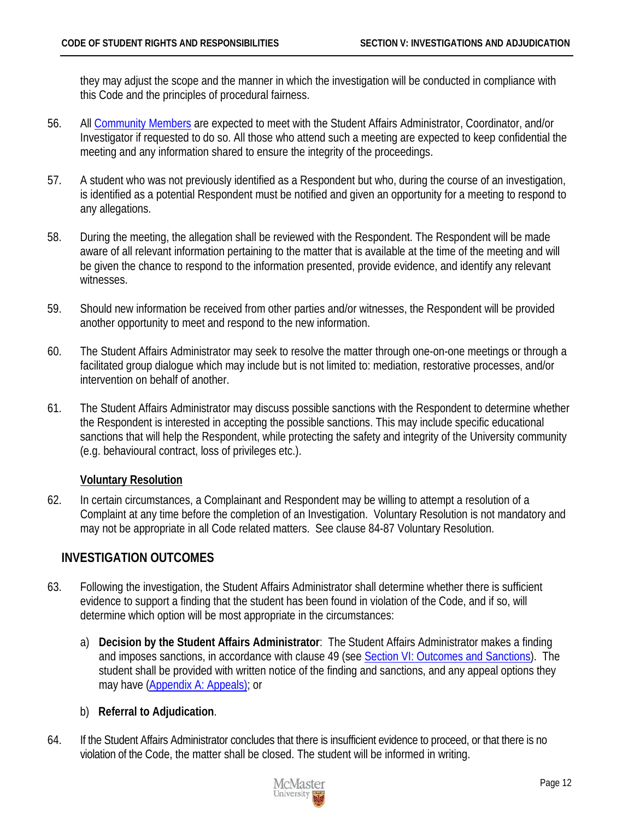they may adjust the scope and the manner in which the investigation will be conducted in compliance with this Code and the principles of procedural fairness.

- 56. All [Community Members](#page-37-1) are expected to meet with the Student Affairs Administrator, Coordinator, and/or Investigator if requested to do so. All those who attend such a meeting are expected to keep confidential the meeting and any information shared to ensure the integrity of the proceedings.
- 57. A student who was not previously identified as a Respondent but who, during the course of an investigation, is identified as a potential Respondent must be notified and given an opportunity for a meeting to respond to any allegations.
- 58. During the meeting, the allegation shall be reviewed with the Respondent. The Respondent will be made aware of all relevant information pertaining to the matter that is available at the time of the meeting and will be given the chance to respond to the information presented, provide evidence, and identify any relevant witnesses.
- 59. Should new information be received from other parties and/or witnesses, the Respondent will be provided another opportunity to meet and respond to the new information.
- 60. The Student Affairs Administrator may seek to resolve the matter through one-on-one meetings or through a facilitated group dialogue which may include but is not limited to: mediation, restorative processes, and/or intervention on behalf of another.
- 61. The Student Affairs Administrator may discuss possible sanctions with the Respondent to determine whether the Respondent is interested in accepting the possible sanctions. This may include specific educational sanctions that will help the Respondent, while protecting the safety and integrity of the University community (e.g. behavioural contract, loss of privileges etc.).

#### <span id="page-15-0"></span>**Voluntary Resolution**

62. In certain circumstances, a Complainant and Respondent may be willing to attempt a resolution of a Complaint at any time before the completion of an Investigation. Voluntary Resolution is not mandatory and may not be appropriate in all Code related matters. See clause 84-87 Voluntary Resolution.

# <span id="page-15-1"></span>**INVESTIGATION OUTCOMES**

- 63. Following the investigation, the Student Affairs Administrator shall determine whether there is sufficient evidence to support a finding that the student has been found in violation of the Code, and if so, will determine which option will be most appropriate in the circumstances:
	- a) **Decision by the Student Affairs Administrator**: The Student Affairs Administrator makes a finding and imposes sanctions, in accordance with clause 49 (see [Section VI: Outcomes and Sanctions\)](#page-18-0). The student shall be provided with written notice of the finding and sanctions, and any appeal options they may have [\(Appendix A: Appeals\);](#page-31-0) or
	- b) **Referral to Adjudication**.
- 64. If the Student Affairs Administrator concludes that there is insufficient evidence to proceed, or that there is no violation of the Code, the matter shall be closed. The student will be informed in writing.

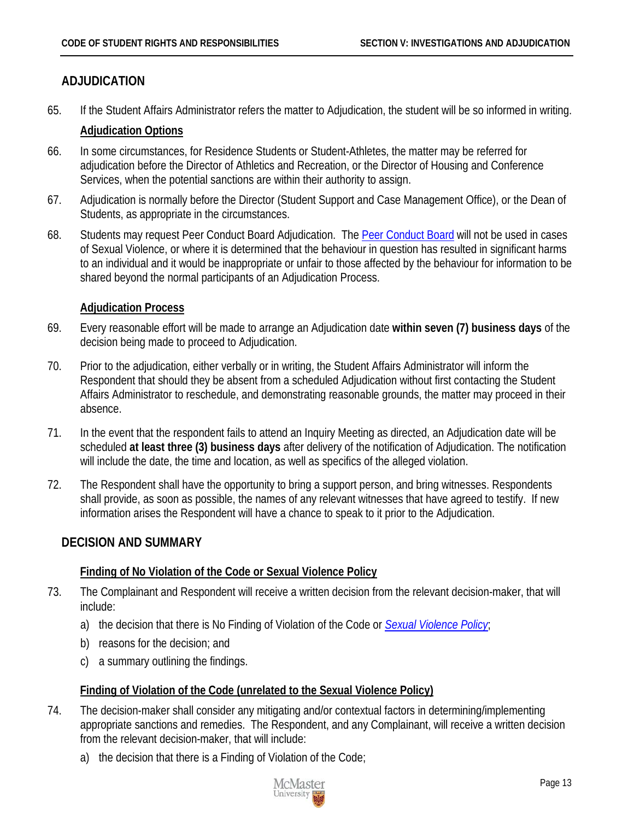# <span id="page-16-0"></span>**ADJUDICATION**

65. If the Student Affairs Administrator refers the matter to Adjudication, the student will be so informed in writing.

#### <span id="page-16-1"></span>**Adjudication Options**

- 66. In some circumstances, for Residence Students or Student-Athletes, the matter may be referred for adjudication before the Director of Athletics and Recreation, or the Director of Housing and Conference Services, when the potential sanctions are within their authority to assign.
- 67. Adjudication is normally before the Director (Student Support and Case Management Office), or the Dean of Students, as appropriate in the circumstances.
- 68. Students may request Peer Conduct Board Adjudication. The [Peer Conduct Board](#page-34-0) will not be used in cases of Sexual Violence, or where it is determined that the behaviour in question has resulted in significant harms to an individual and it would be inappropriate or unfair to those affected by the behaviour for information to be shared beyond the normal participants of an Adjudication Process.

### <span id="page-16-2"></span>**Adjudication Process**

- 69. Every reasonable effort will be made to arrange an Adjudication date **within seven (7) business days** of the decision being made to proceed to Adjudication.
- 70. Prior to the adjudication, either verbally or in writing, the Student Affairs Administrator will inform the Respondent that should they be absent from a scheduled Adjudication without first contacting the Student Affairs Administrator to reschedule, and demonstrating reasonable grounds, the matter may proceed in their absence.
- 71. In the event that the respondent fails to attend an Inquiry Meeting as directed, an Adjudication date will be scheduled **at least three (3) business days** after delivery of the notification of Adjudication. The notification will include the date, the time and location, as well as specifics of the alleged violation.
- 72. The Respondent shall have the opportunity to bring a support person, and bring witnesses. Respondents shall provide, as soon as possible, the names of any relevant witnesses that have agreed to testify. If new information arises the Respondent will have a chance to speak to it prior to the Adjudication.

# <span id="page-16-3"></span>**DECISION AND SUMMARY**

# <span id="page-16-4"></span>**Finding of No Violation of the Code or Sexual Violence Policy**

- 73. The Complainant and Respondent will receive a written decision from the relevant decision-maker, that will include:
	- a) the decision that there is No Finding of Violation of the Code or *[Sexual Violence Policy](http://www.mcmaster.ca/policy/General/HR/Sexual_Violence_Policy.pdf)*;
	- b) reasons for the decision; and
	- c) a summary outlining the findings.

#### <span id="page-16-5"></span>**Finding of Violation of the Code (unrelated to the Sexual Violence Policy)**

- 74. The decision-maker shall consider any mitigating and/or contextual factors in determining/implementing appropriate sanctions and remedies. The Respondent, and any Complainant, will receive a written decision from the relevant decision-maker, that will include:
	- a) the decision that there is a Finding of Violation of the Code;

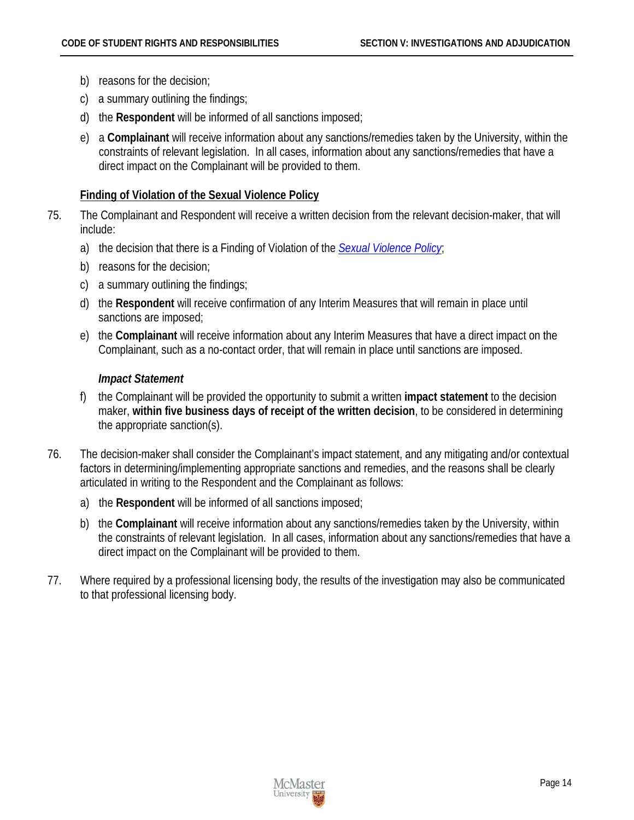- b) reasons for the decision;
- c) a summary outlining the findings;
- d) the **Respondent** will be informed of all sanctions imposed;
- e) a **Complainant** will receive information about any sanctions/remedies taken by the University, within the constraints of relevant legislation. In all cases, information about any sanctions/remedies that have a direct impact on the Complainant will be provided to them.

#### <span id="page-17-0"></span>**Finding of Violation of the Sexual Violence Policy**

- 75. The Complainant and Respondent will receive a written decision from the relevant decision-maker, that will include:
	- a) the decision that there is a Finding of Violation of the *[Sexual Violence Policy](http://www.mcmaster.ca/policy/General/HR/Sexual_Violence_Policy.pdf)*;
	- b) reasons for the decision;
	- c) a summary outlining the findings;
	- d) the **Respondent** will receive confirmation of any Interim Measures that will remain in place until sanctions are imposed;
	- e) the **Complainant** will receive information about any Interim Measures that have a direct impact on the Complainant, such as a no-contact order, that will remain in place until sanctions are imposed.

#### *Impact Statement*

- f) the Complainant will be provided the opportunity to submit a written **impact statement** to the decision maker, **within five business days of receipt of the written decision**, to be considered in determining the appropriate sanction(s).
- 76. The decision-maker shall consider the Complainant's impact statement, and any mitigating and/or contextual factors in determining/implementing appropriate sanctions and remedies, and the reasons shall be clearly articulated in writing to the Respondent and the Complainant as follows:
	- a) the **Respondent** will be informed of all sanctions imposed;
	- b) the **Complainant** will receive information about any sanctions/remedies taken by the University, within the constraints of relevant legislation. In all cases, information about any sanctions/remedies that have a direct impact on the Complainant will be provided to them.
- 77. Where required by a professional licensing body, the results of the investigation may also be communicated to that professional licensing body.

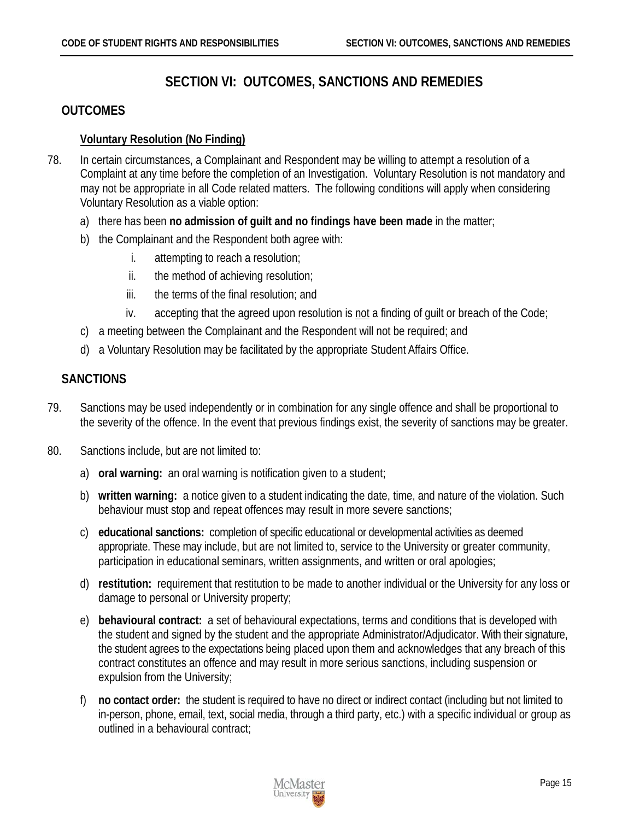# **SECTION VI: OUTCOMES, SANCTIONS AND REMEDIES**

# <span id="page-18-1"></span><span id="page-18-0"></span>**OUTCOMES**

#### <span id="page-18-2"></span>**Voluntary Resolution (No Finding)**

- 78. In certain circumstances, a Complainant and Respondent may be willing to attempt a resolution of a Complaint at any time before the completion of an Investigation. Voluntary Resolution is not mandatory and may not be appropriate in all Code related matters. The following conditions will apply when considering Voluntary Resolution as a viable option:
	- a) there has been **no admission of guilt and no findings have been made** in the matter;
	- b) the Complainant and the Respondent both agree with:
		- i. attempting to reach a resolution;
		- ii. the method of achieving resolution;
		- iii. the terms of the final resolution; and
		- iv. accepting that the agreed upon resolution is not a finding of guilt or breach of the Code;
	- c) a meeting between the Complainant and the Respondent will not be required; and
	- d) a Voluntary Resolution may be facilitated by the appropriate Student Affairs Office.

# <span id="page-18-3"></span>**SANCTIONS**

- 79. Sanctions may be used independently or in combination for any single offence and shall be proportional to the severity of the offence. In the event that previous findings exist, the severity of sanctions may be greater.
- 80. Sanctions include, but are not limited to:
	- a) **oral warning:** an oral warning is notification given to a student;
	- b) **written warning:** a notice given to a student indicating the date, time, and nature of the violation. Such behaviour must stop and repeat offences may result in more severe sanctions;
	- c) **educational sanctions:** completion of specific educational or developmental activities as deemed appropriate. These may include, but are not limited to, service to the University or greater community, participation in educational seminars, written assignments, and written or oral apologies;
	- d) **restitution:** requirement that restitution to be made to another individual or the University for any loss or damage to personal or University property;
	- e) **behavioural contract:** a set of behavioural expectations, terms and conditions that is developed with the student and signed by the student and the appropriate Administrator/Adjudicator. With their signature, the student agrees to the expectations being placed upon them and acknowledges that any breach of this contract constitutes an offence and may result in more serious sanctions, including suspension or expulsion from the University;
	- f) **no contact order:** the student is required to have no direct or indirect contact (including but not limited to in-person, phone, email, text, social media, through a third party, etc.) with a specific individual or group as outlined in a behavioural contract;

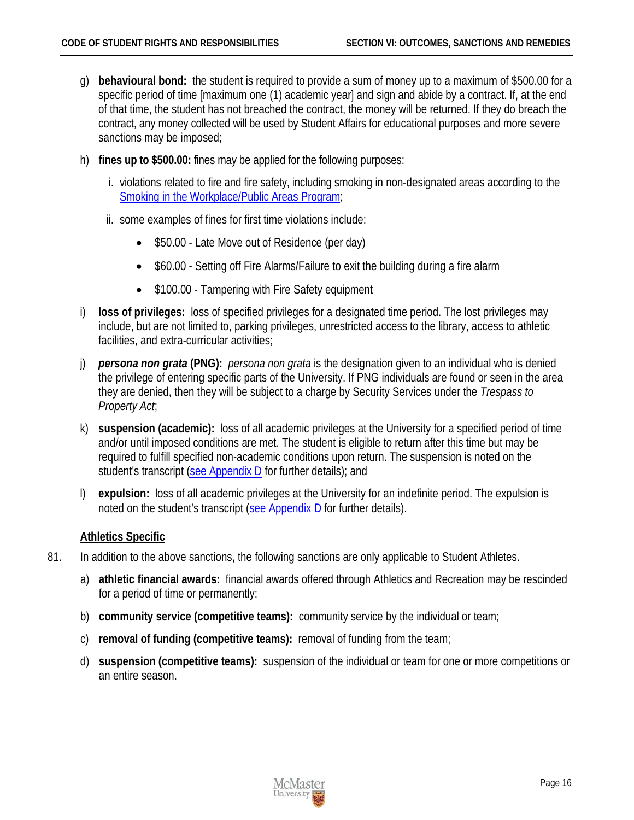- g) **behavioural bond:** the student is required to provide a sum of money up to a maximum of \$500.00 for a specific period of time [maximum one (1) academic year] and sign and abide by a contract. If, at the end of that time, the student has not breached the contract, the money will be returned. If they do breach the contract, any money collected will be used by Student Affairs for educational purposes and more severe sanctions may be imposed;
- h) **fines up to \$500.00:** fines may be applied for the following purposes:
	- i. violations related to fire and fire safety, including smoking in non-designated areas according to the [Smoking in the Workplace/Public Areas Program;](http://www.workingatmcmaster.ca/med/document/RMM-402-Smoking-in-the-Workplace-Public-Areas-Program-1-36.pdf)
	- ii. some examples of fines for first time violations include:
		- \$50.00 Late Move out of Residence (per day)
		- \$60.00 Setting off Fire Alarms/Failure to exit the building during a fire alarm
		- \$100.00 Tampering with Fire Safety equipment
- i) **loss of privileges:** loss of specified privileges for a designated time period. The lost privileges may include, but are not limited to, parking privileges, unrestricted access to the library, access to athletic facilities, and extra-curricular activities;
- j) *persona non grata* **(PNG):** *persona non grata* is the designation given to an individual who is denied the privilege of entering specific parts of the University. If PNG individuals are found or seen in the area they are denied, then they will be subject to a charge by Security Services under the *Trespass to Property Act*;
- k) **suspension (academic):** loss of all academic privileges at the University for a specified period of time and/or until imposed conditions are met. The student is eligible to return after this time but may be required to fulfill specified non-academic conditions upon return. The suspension is noted on the student's transcript [\(see Appendix D](#page-35-0) for further details); and
- l) **expulsion:** loss of all academic privileges at the University for an indefinite period. The expulsion is noted on the student's transcript [\(see Appendix D](#page-35-0) for further details).

#### <span id="page-19-0"></span>**Athletics Specific**

- 81. In addition to the above sanctions, the following sanctions are only applicable to Student Athletes.
	- a) **athletic financial awards:** financial awards offered through Athletics and Recreation may be rescinded for a period of time or permanently;
	- b) **community service (competitive teams):** community service by the individual or team;
	- c) **removal of funding (competitive teams):** removal of funding from the team;
	- d) **suspension (competitive teams):** suspension of the individual or team for one or more competitions or an entire season.

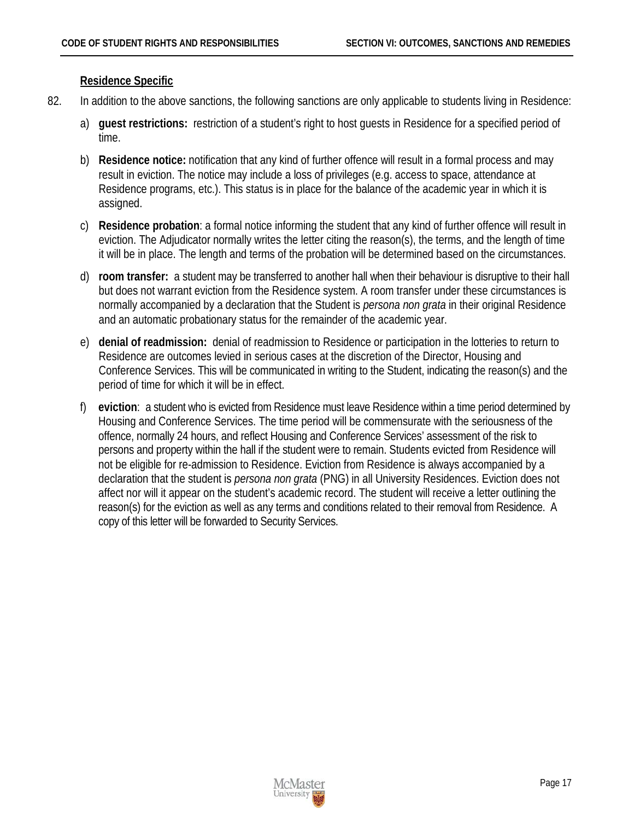#### <span id="page-20-0"></span>**Residence Specific**

- 82. In addition to the above sanctions, the following sanctions are only applicable to students living in Residence:
	- a) **guest restrictions:** restriction of a student's right to host guests in Residence for a specified period of time.
	- b) **Residence notice:** notification that any kind of further offence will result in a formal process and may result in eviction. The notice may include a loss of privileges (e.g. access to space, attendance at Residence programs, etc.). This status is in place for the balance of the academic year in which it is assigned.
	- c) **Residence probation**: a formal notice informing the student that any kind of further offence will result in eviction. The Adjudicator normally writes the letter citing the reason(s), the terms, and the length of time it will be in place. The length and terms of the probation will be determined based on the circumstances.
	- d) **room transfer:** a student may be transferred to another hall when their behaviour is disruptive to their hall but does not warrant eviction from the Residence system. A room transfer under these circumstances is normally accompanied by a declaration that the Student is *persona non grata* in their original Residence and an automatic probationary status for the remainder of the academic year.
	- e) **denial of readmission:** denial of readmission to Residence or participation in the lotteries to return to Residence are outcomes levied in serious cases at the discretion of the Director, Housing and Conference Services. This will be communicated in writing to the Student, indicating the reason(s) and the period of time for which it will be in effect.
	- f) **eviction**: a student who is evicted from Residence must leave Residence within a time period determined by Housing and Conference Services. The time period will be commensurate with the seriousness of the offence, normally 24 hours, and reflect Housing and Conference Services' assessment of the risk to persons and property within the hall if the student were to remain. Students evicted from Residence will not be eligible for re-admission to Residence. Eviction from Residence is always accompanied by a declaration that the student is *persona non grata* (PNG) in all University Residences. Eviction does not affect nor will it appear on the student's academic record. The student will receive a letter outlining the reason(s) for the eviction as well as any terms and conditions related to their removal from Residence. A copy of this letter will be forwarded to Security Services.

<span id="page-20-1"></span>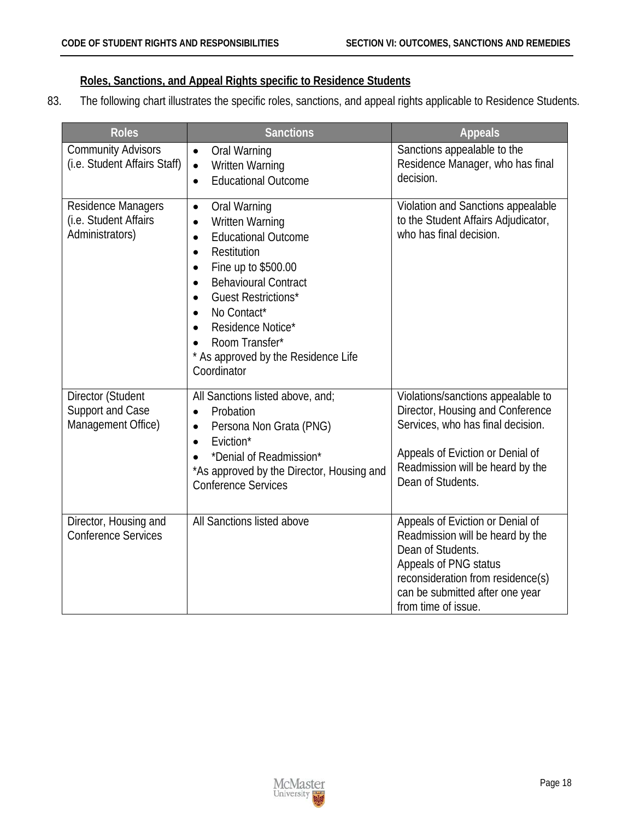#### <span id="page-21-0"></span>**Roles, Sanctions, and Appeal Rights specific to Residence Students**

83. The following chart illustrates the specific roles, sanctions, and appeal rights applicable to Residence Students.

| <b>Roles</b>                                                   | <b>Sanctions</b>                                                                                                                                                                                                                                                                                                                                         | <b>Appeals</b>                                                                                                                                                                                                    |
|----------------------------------------------------------------|----------------------------------------------------------------------------------------------------------------------------------------------------------------------------------------------------------------------------------------------------------------------------------------------------------------------------------------------------------|-------------------------------------------------------------------------------------------------------------------------------------------------------------------------------------------------------------------|
| <b>Community Advisors</b><br>(i.e. Student Affairs Staff)      | Oral Warning<br>$\bullet$<br><b>Written Warning</b><br>$\bullet$<br><b>Educational Outcome</b><br>$\bullet$                                                                                                                                                                                                                                              | Sanctions appealable to the<br>Residence Manager, who has final<br>decision.                                                                                                                                      |
| Residence Managers<br>(i.e. Student Affairs<br>Administrators) | Oral Warning<br>$\bullet$<br>Written Warning<br>$\bullet$<br><b>Educational Outcome</b><br>$\bullet$<br>Restitution<br>$\bullet$<br>Fine up to \$500.00<br>$\bullet$<br><b>Behavioural Contract</b><br>$\bullet$<br><b>Guest Restrictions*</b><br>No Contact*<br>Residence Notice*<br>Room Transfer*<br>As approved by the Residence Life<br>Coordinator | Violation and Sanctions appealable<br>to the Student Affairs Adjudicator,<br>who has final decision.                                                                                                              |
| Director (Student<br>Support and Case<br>Management Office)    | All Sanctions listed above, and;<br>Probation<br>$\bullet$<br>Persona Non Grata (PNG)<br>$\bullet$<br>Eviction*<br>$\bullet$<br>*Denial of Readmission*<br>*As approved by the Director, Housing and<br><b>Conference Services</b>                                                                                                                       | Violations/sanctions appealable to<br>Director, Housing and Conference<br>Services, who has final decision.<br>Appeals of Eviction or Denial of<br>Readmission will be heard by the<br>Dean of Students.          |
| Director, Housing and<br><b>Conference Services</b>            | All Sanctions listed above                                                                                                                                                                                                                                                                                                                               | Appeals of Eviction or Denial of<br>Readmission will be heard by the<br>Dean of Students.<br>Appeals of PNG status<br>reconsideration from residence(s)<br>can be submitted after one year<br>from time of issue. |

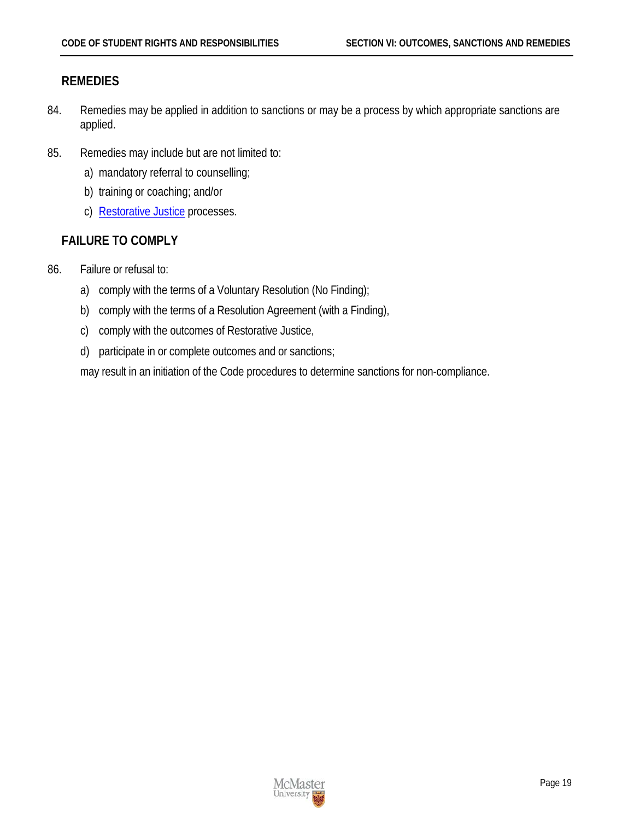### <span id="page-22-0"></span>**REMEDIES**

- 84. Remedies may be applied in addition to sanctions or may be a process by which appropriate sanctions are applied.
- 85. Remedies may include but are not limited to:
	- a) mandatory referral to counselling;
	- b) training or coaching; and/or
	- c) [Restorative Justice](#page-38-0) processes.

# <span id="page-22-1"></span>**FAILURE TO COMPLY**

- 86. Failure or refusal to:
	- a) comply with the terms of a Voluntary Resolution (No Finding);
	- b) comply with the terms of a Resolution Agreement (with a Finding),
	- c) comply with the outcomes of Restorative Justice,
	- d) participate in or complete outcomes and or sanctions;

may result in an initiation of the Code procedures to determine sanctions for non-compliance.

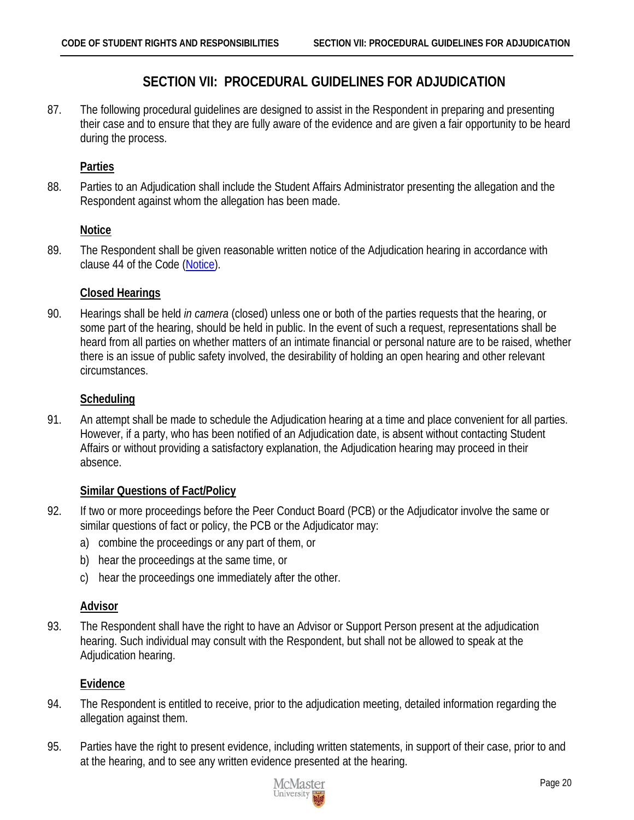# **SECTION VII: PROCEDURAL GUIDELINES FOR ADJUDICATION**

<span id="page-23-0"></span>87. The following procedural guidelines are designed to assist in the Respondent in preparing and presenting their case and to ensure that they are fully aware of the evidence and are given a fair opportunity to be heard during the process.

### <span id="page-23-1"></span>**Parties**

88. Parties to an Adjudication shall include the Student Affairs Administrator presenting the allegation and the Respondent against whom the allegation has been made.

#### <span id="page-23-2"></span>**Notice**

89. The Respondent shall be given reasonable written notice of the Adjudication hearing in accordance with clause 44 of the Code [\(Notice\)](#page-12-7).

#### <span id="page-23-3"></span>**Closed Hearings**

90. Hearings shall be held *in camera* (closed) unless one or both of the parties requests that the hearing, or some part of the hearing, should be held in public. In the event of such a request, representations shall be heard from all parties on whether matters of an intimate financial or personal nature are to be raised, whether there is an issue of public safety involved, the desirability of holding an open hearing and other relevant circumstances.

### <span id="page-23-4"></span>**Scheduling**

91. An attempt shall be made to schedule the Adjudication hearing at a time and place convenient for all parties. However, if a party, who has been notified of an Adjudication date, is absent without contacting Student Affairs or without providing a satisfactory explanation, the Adjudication hearing may proceed in their absence.

# <span id="page-23-5"></span>**Similar Questions of Fact/Policy**

- 92. If two or more proceedings before the Peer Conduct Board (PCB) or the Adjudicator involve the same or similar questions of fact or policy, the PCB or the Adjudicator may:
	- a) combine the proceedings or any part of them, or
	- b) hear the proceedings at the same time, or
	- c) hear the proceedings one immediately after the other.

#### <span id="page-23-6"></span>**Advisor**

93. The Respondent shall have the right to have an Advisor or Support Person present at the adjudication hearing. Such individual may consult with the Respondent, but shall not be allowed to speak at the Adjudication hearing.

#### <span id="page-23-7"></span>**Evidence**

- 94. The Respondent is entitled to receive, prior to the adjudication meeting, detailed information regarding the allegation against them.
- 95. Parties have the right to present evidence, including written statements, in support of their case, prior to and at the hearing, and to see any written evidence presented at the hearing.

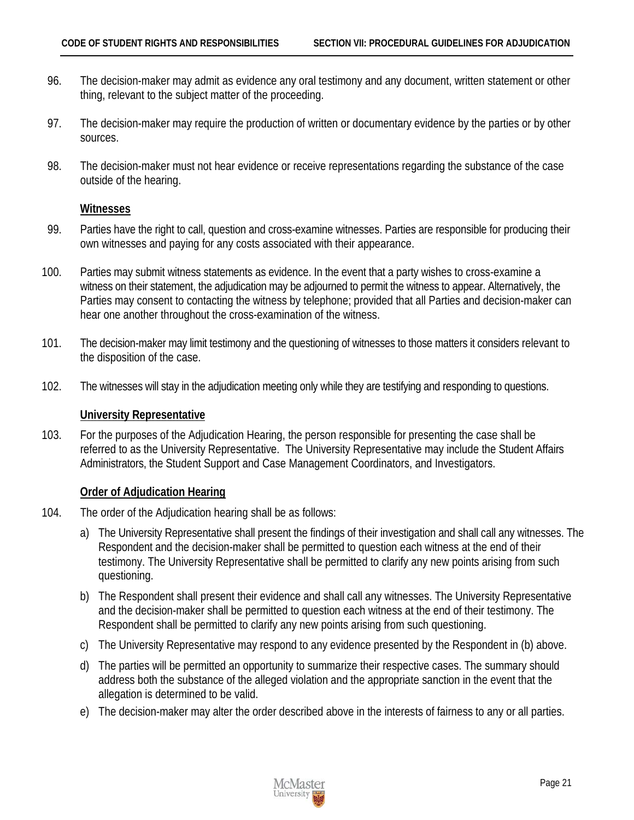- 96. The decision-maker may admit as evidence any oral testimony and any document, written statement or other thing, relevant to the subject matter of the proceeding.
- 97. The decision-maker may require the production of written or documentary evidence by the parties or by other sources.
- 98. The decision-maker must not hear evidence or receive representations regarding the substance of the case outside of the hearing.

#### <span id="page-24-0"></span>**Witnesses**

- 99. Parties have the right to call, question and cross-examine witnesses. Parties are responsible for producing their own witnesses and paying for any costs associated with their appearance.
- 100. Parties may submit witness statements as evidence. In the event that a party wishes to cross-examine a witness on their statement, the adjudication may be adjourned to permit the witness to appear. Alternatively, the Parties may consent to contacting the witness by telephone; provided that all Parties and decision-maker can hear one another throughout the cross-examination of the witness.
- 101. The decision-maker may limit testimony and the questioning of witnesses to those matters it considers relevant to the disposition of the case.
- 102. The witnesses will stay in the adjudication meeting only while they are testifying and responding to questions.

#### <span id="page-24-1"></span>**University Representative**

103. For the purposes of the Adjudication Hearing, the person responsible for presenting the case shall be referred to as the University Representative. The University Representative may include the Student Affairs Administrators, the Student Support and Case Management Coordinators, and Investigators.

#### <span id="page-24-2"></span>**Order of Adjudication Hearing**

- 104. The order of the Adjudication hearing shall be as follows:
	- a) The University Representative shall present the findings of their investigation and shall call any witnesses. The Respondent and the decision-maker shall be permitted to question each witness at the end of their testimony. The University Representative shall be permitted to clarify any new points arising from such questioning.
	- b) The Respondent shall present their evidence and shall call any witnesses. The University Representative and the decision-maker shall be permitted to question each witness at the end of their testimony. The Respondent shall be permitted to clarify any new points arising from such questioning.
	- c) The University Representative may respond to any evidence presented by the Respondent in (b) above.
	- d) The parties will be permitted an opportunity to summarize their respective cases. The summary should address both the substance of the alleged violation and the appropriate sanction in the event that the allegation is determined to be valid.
	- e) The decision-maker may alter the order described above in the interests of fairness to any or all parties.

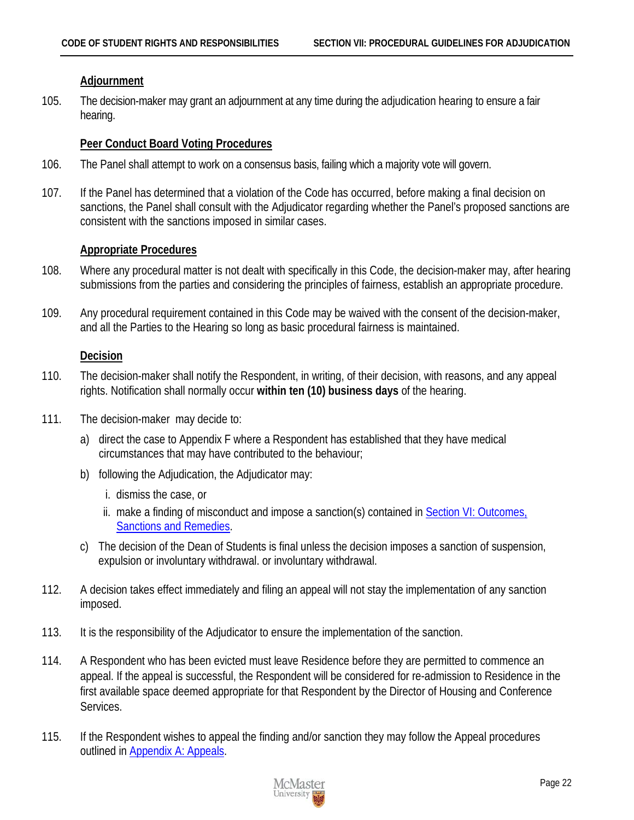#### <span id="page-25-0"></span>**Adjournment**

105. The decision-maker may grant an adjournment at any time during the adjudication hearing to ensure a fair hearing.

#### <span id="page-25-1"></span>**Peer Conduct Board Voting Procedures**

- 106. The Panel shall attempt to work on a consensus basis, failing which a majority vote will govern.
- 107. If the Panel has determined that a violation of the Code has occurred, before making a final decision on sanctions, the Panel shall consult with the Adjudicator regarding whether the Panel's proposed sanctions are consistent with the sanctions imposed in similar cases.

#### <span id="page-25-2"></span>**Appropriate Procedures**

- 108. Where any procedural matter is not dealt with specifically in this Code, the decision-maker may, after hearing submissions from the parties and considering the principles of fairness, establish an appropriate procedure.
- 109. Any procedural requirement contained in this Code may be waived with the consent of the decision-maker, and all the Parties to the Hearing so long as basic procedural fairness is maintained.

#### <span id="page-25-3"></span>**Decision**

- 110. The decision-maker shall notify the Respondent, in writing, of their decision, with reasons, and any appeal rights. Notification shall normally occur **within ten (10) business days** of the hearing.
- 111. The decision-maker may decide to:
	- a) direct the case to Appendix F where a Respondent has established that they have medical circumstances that may have contributed to the behaviour;
	- b) following the Adjudication, the Adjudicator may:
		- i. dismiss the case, or
		- ii. make a finding of misconduct and impose a sanction(s) contained in Section VI: Outcomes, [Sanctions](#page-18-0) and Remedies.
	- c) The decision of the Dean of Students is final unless the decision imposes a sanction of suspension, expulsion or involuntary withdrawal. or involuntary withdrawal.
- 112. A decision takes effect immediately and filing an appeal will not stay the implementation of any sanction imposed.
- 113. It is the responsibility of the Adjudicator to ensure the implementation of the sanction.
- 114. A Respondent who has been evicted must leave Residence before they are permitted to commence an appeal. If the appeal is successful, the Respondent will be considered for re-admission to Residence in the first available space deemed appropriate for that Respondent by the Director of Housing and Conference Services.
- 115. If the Respondent wishes to appeal the finding and/or sanction they may follow the Appeal procedures outlined in [Appendix A: Appeals.](#page-31-0)

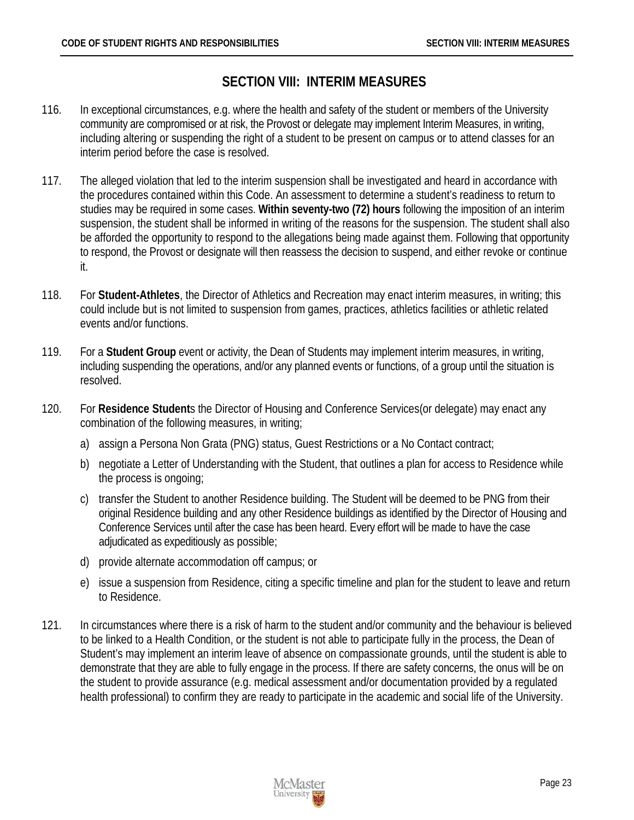# **SECTION VIII: INTERIM MEASURES**

- <span id="page-26-0"></span>116. In exceptional circumstances, e.g. where the health and safety of the student or members of the University community are compromised or at risk, the Provost or delegate may implement Interim Measures, in writing, including altering or suspending the right of a student to be present on campus or to attend classes for an interim period before the case is resolved.
- 117. The alleged violation that led to the interim suspension shall be investigated and heard in accordance with the procedures contained within this Code. An assessment to determine a student's readiness to return to studies may be required in some cases. **Within seventy-two (72) hours** following the imposition of an interim suspension, the student shall be informed in writing of the reasons for the suspension. The student shall also be afforded the opportunity to respond to the allegations being made against them. Following that opportunity to respond, the Provost or designate will then reassess the decision to suspend, and either revoke or continue it.
- 118. For **Student-Athletes**, the Director of Athletics and Recreation may enact interim measures, in writing; this could include but is not limited to suspension from games, practices, athletics facilities or athletic related events and/or functions.
- 119. For a **Student Group** event or activity, the Dean of Students may implement interim measures, in writing, including suspending the operations, and/or any planned events or functions, of a group until the situation is resolved.
- 120. For **Residence Student**s the Director of Housing and Conference Services(or delegate) may enact any combination of the following measures, in writing;
	- a) assign a Persona Non Grata (PNG) status, Guest Restrictions or a No Contact contract;
	- b) negotiate a Letter of Understanding with the Student, that outlines a plan for access to Residence while the process is ongoing;
	- c) transfer the Student to another Residence building. The Student will be deemed to be PNG from their original Residence building and any other Residence buildings as identified by the Director of Housing and Conference Services until after the case has been heard. Every effort will be made to have the case adjudicated as expeditiously as possible;
	- d) provide alternate accommodation off campus; or
	- e) issue a suspension from Residence, citing a specific timeline and plan for the student to leave and return to Residence.
- 121. In circumstances where there is a risk of harm to the student and/or community and the behaviour is believed to be linked to a Health Condition, or the student is not able to participate fully in the process, the Dean of Student's may implement an interim leave of absence on compassionate grounds, until the student is able to demonstrate that they are able to fully engage in the process. If there are safety concerns, the onus will be on the student to provide assurance (e.g. medical assessment and/or documentation provided by a regulated health professional) to confirm they are ready to participate in the academic and social life of the University.

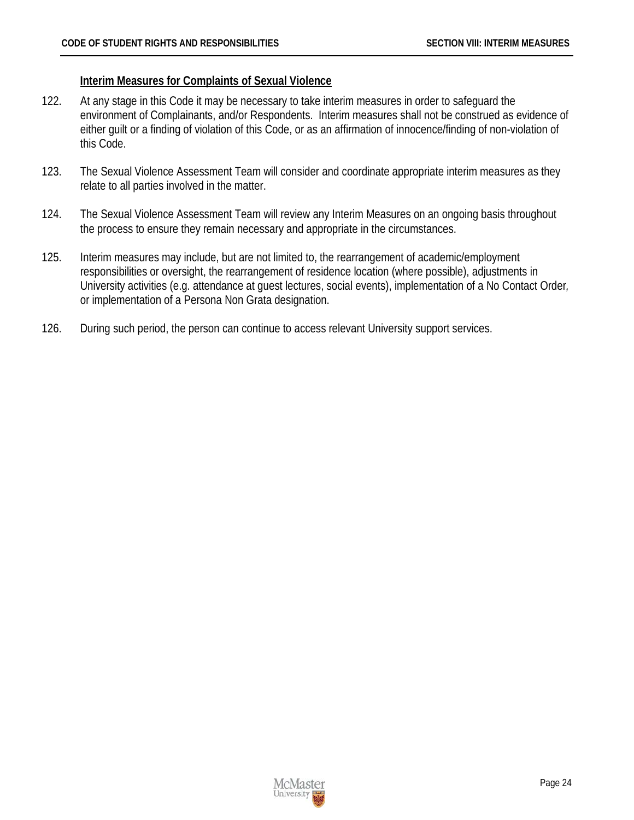#### <span id="page-27-0"></span>**Interim Measures for Complaints of Sexual Violence**

- 122. At any stage in this Code it may be necessary to take interim measures in order to safeguard the environment of Complainants, and/or Respondents. Interim measures shall not be construed as evidence of either guilt or a finding of violation of this Code, or as an affirmation of innocence/finding of non-violation of this Code.
- 123. The Sexual Violence Assessment Team will consider and coordinate appropriate interim measures as they relate to all parties involved in the matter.
- 124. The Sexual Violence Assessment Team will review any Interim Measures on an ongoing basis throughout the process to ensure they remain necessary and appropriate in the circumstances.
- 125. Interim measures may include, but are not limited to, the rearrangement of academic/employment responsibilities or oversight, the rearrangement of residence location (where possible), adjustments in University activities (e.g. attendance at guest lectures, social events), implementation of a No Contact Order*,*  or implementation of a Persona Non Grata designation.
- 126. During such period, the person can continue to access relevant University support services.

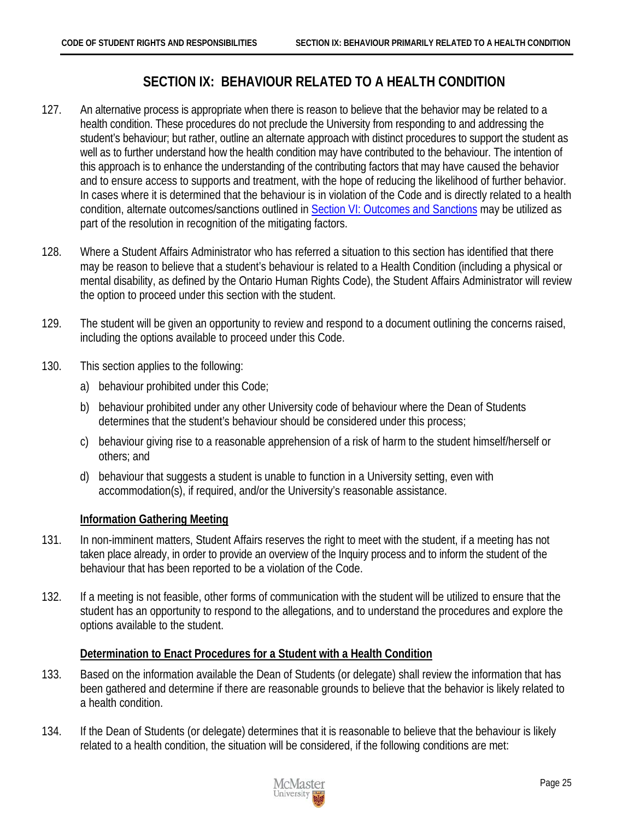# **SECTION IX: BEHAVIOUR RELATED TO A HEALTH CONDITION**

- <span id="page-28-0"></span>127. An alternative process is appropriate when there is reason to believe that the behavior may be related to a health condition. These procedures do not preclude the University from responding to and addressing the student's behaviour; but rather, outline an alternate approach with distinct procedures to support the student as well as to further understand how the health condition may have contributed to the behaviour. The intention of this approach is to enhance the understanding of the contributing factors that may have caused the behavior and to ensure access to supports and treatment, with the hope of reducing the likelihood of further behavior. In cases where it is determined that the behaviour is in violation of the Code and is directly related to a health condition, alternate outcomes/sanctions outlined in [Section VI: Outcomes and Sanctions](#page-18-0) may be utilized as part of the resolution in recognition of the mitigating factors.
- 128. Where a Student Affairs Administrator who has referred a situation to this section has identified that there may be reason to believe that a student's behaviour is related to a Health Condition (including a physical or mental disability, as defined by the Ontario Human Rights Code), the Student Affairs Administrator will review the option to proceed under this section with the student.
- 129. The student will be given an opportunity to review and respond to a document outlining the concerns raised, including the options available to proceed under this Code.
- 130. This section applies to the following:
	- a) behaviour prohibited under this Code;
	- b) behaviour prohibited under any other University code of behaviour where the Dean of Students determines that the student's behaviour should be considered under this process;
	- c) behaviour giving rise to a reasonable apprehension of a risk of harm to the student himself/herself or others; and
	- d) behaviour that suggests a student is unable to function in a University setting, even with accommodation(s), if required, and/or the University's reasonable assistance.

#### <span id="page-28-1"></span>**Information Gathering Meeting**

- 131. In non-imminent matters, Student Affairs reserves the right to meet with the student, if a meeting has not taken place already, in order to provide an overview of the Inquiry process and to inform the student of the behaviour that has been reported to be a violation of the Code.
- 132. If a meeting is not feasible, other forms of communication with the student will be utilized to ensure that the student has an opportunity to respond to the allegations, and to understand the procedures and explore the options available to the student.

#### <span id="page-28-2"></span>**Determination to Enact Procedures for a Student with a Health Condition**

- 133. Based on the information available the Dean of Students (or delegate) shall review the information that has been gathered and determine if there are reasonable grounds to believe that the behavior is likely related to a health condition.
- 134. If the Dean of Students (or delegate) determines that it is reasonable to believe that the behaviour is likely related to a health condition, the situation will be considered, if the following conditions are met:

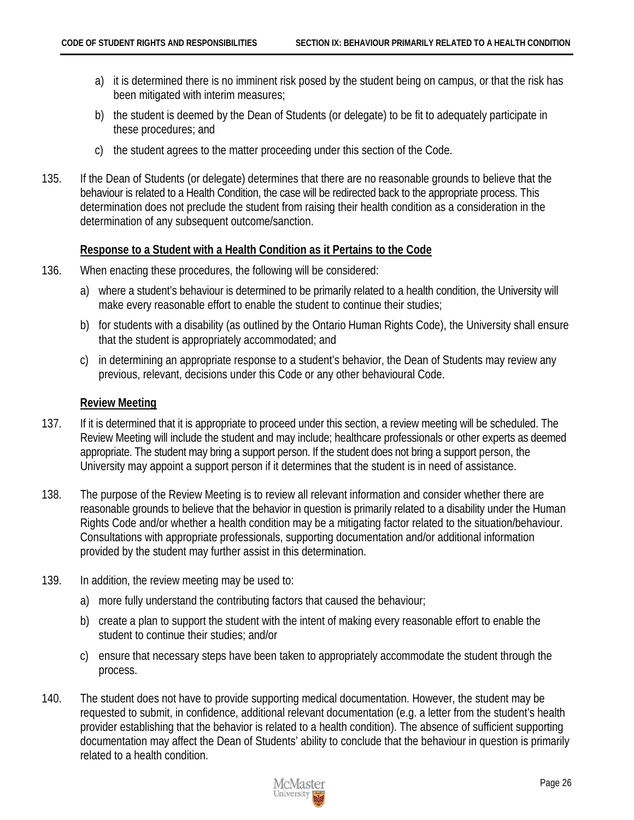- a) it is determined there is no imminent risk posed by the student being on campus, or that the risk has been mitigated with interim measures;
- b) the student is deemed by the Dean of Students (or delegate) to be fit to adequately participate in these procedures; and
- c) the student agrees to the matter proceeding under this section of the Code.
- 135. If the Dean of Students (or delegate) determines that there are no reasonable grounds to believe that the behaviour is related to a Health Condition, the case will be redirected back to the appropriate process. This determination does not preclude the student from raising their health condition as a consideration in the determination of any subsequent outcome/sanction.

#### <span id="page-29-0"></span>**Response to a Student with a Health Condition as it Pertains to the Code**

- 136. When enacting these procedures, the following will be considered:
	- a) where a student's behaviour is determined to be primarily related to a health condition, the University will make every reasonable effort to enable the student to continue their studies;
	- b) for students with a disability (as outlined by the Ontario Human Rights Code), the University shall ensure that the student is appropriately accommodated; and
	- c) in determining an appropriate response to a student's behavior, the Dean of Students may review any previous, relevant, decisions under this Code or any other behavioural Code.

#### <span id="page-29-1"></span>**Review Meeting**

- 137. If it is determined that it is appropriate to proceed under this section, a review meeting will be scheduled. The Review Meeting will include the student and may include; healthcare professionals or other experts as deemed appropriate. The student may bring a support person. If the student does not bring a support person, the University may appoint a support person if it determines that the student is in need of assistance.
- 138. The purpose of the Review Meeting is to review all relevant information and consider whether there are reasonable grounds to believe that the behavior in question is primarily related to a disability under the Human Rights Code and/or whether a health condition may be a mitigating factor related to the situation/behaviour. Consultations with appropriate professionals, supporting documentation and/or additional information provided by the student may further assist in this determination.
- 139. In addition, the review meeting may be used to:
	- a) more fully understand the contributing factors that caused the behaviour;
	- b) create a plan to support the student with the intent of making every reasonable effort to enable the student to continue their studies; and/or
	- c) ensure that necessary steps have been taken to appropriately accommodate the student through the process.
- 140. The student does not have to provide supporting medical documentation. However, the student may be requested to submit, in confidence, additional relevant documentation (e.g. a letter from the student's health provider establishing that the behavior is related to a health condition). The absence of sufficient supporting documentation may affect the Dean of Students' ability to conclude that the behaviour in question is primarily related to a health condition.

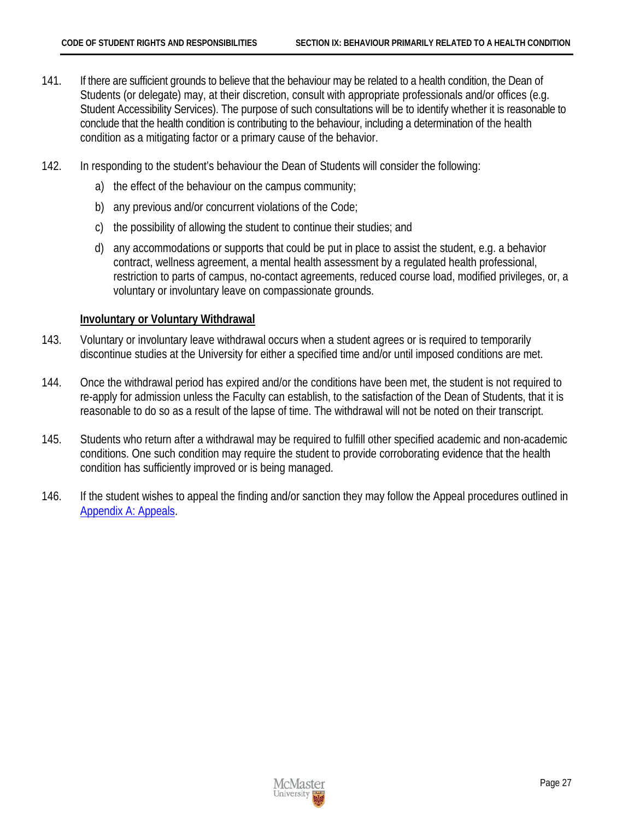- 141. If there are sufficient grounds to believe that the behaviour may be related to a health condition, the Dean of Students (or delegate) may, at their discretion, consult with appropriate professionals and/or offices (e.g. Student Accessibility Services). The purpose of such consultations will be to identify whether it is reasonable to conclude that the health condition is contributing to the behaviour, including a determination of the health condition as a mitigating factor or a primary cause of the behavior.
- 142. In responding to the student's behaviour the Dean of Students will consider the following:
	- a) the effect of the behaviour on the campus community;
	- b) any previous and/or concurrent violations of the Code;
	- c) the possibility of allowing the student to continue their studies; and
	- d) any accommodations or supports that could be put in place to assist the student, e.g. a behavior contract, wellness agreement, a mental health assessment by a regulated health professional, restriction to parts of campus, no-contact agreements, reduced course load, modified privileges, or, a voluntary or involuntary leave on compassionate grounds.

#### <span id="page-30-0"></span>**Involuntary or Voluntary Withdrawal**

- 143. Voluntary or involuntary leave withdrawal occurs when a student agrees or is required to temporarily discontinue studies at the University for either a specified time and/or until imposed conditions are met.
- 144. Once the withdrawal period has expired and/or the conditions have been met, the student is not required to re-apply for admission unless the Faculty can establish, to the satisfaction of the Dean of Students, that it is reasonable to do so as a result of the lapse of time. The withdrawal will not be noted on their transcript.
- 145. Students who return after a withdrawal may be required to fulfill other specified academic and non-academic conditions. One such condition may require the student to provide corroborating evidence that the health condition has sufficiently improved or is being managed.
- 146. If the student wishes to appeal the finding and/or sanction they may follow the Appeal procedures outlined in [Appendix A: Appeals.](#page-31-0)

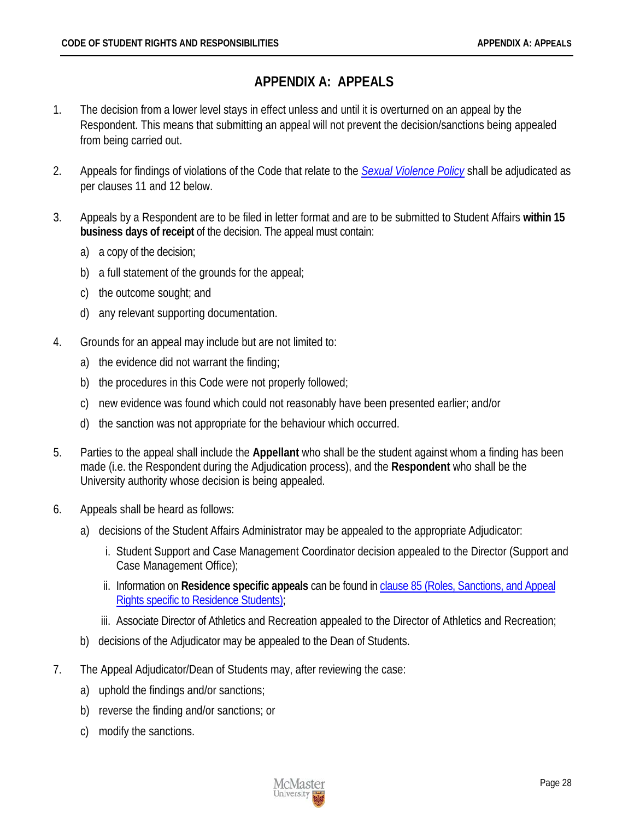# **APPENDIX A: APPEALS**

- <span id="page-31-0"></span>1. The decision from a lower level stays in effect unless and until it is overturned on an appeal by the Respondent. This means that submitting an appeal will not prevent the decision/sanctions being appealed from being carried out.
- 2. Appeals for findings of violations of the Code that relate to the *[Sexual Violence Policy](http://www.mcmaster.ca/policy/General/HR/Sexual_Violence_Policy.pdf)* shall be adjudicated as per clauses 11 and 12 below.
- 3. Appeals by a Respondent are to be filed in letter format and are to be submitted to Student Affairs **within 15 business days of receipt** of the decision. The appeal must contain:
	- a) a copy of the decision;
	- b) a full statement of the grounds for the appeal;
	- c) the outcome sought; and
	- d) any relevant supporting documentation.
- 4. Grounds for an appeal may include but are not limited to:
	- a) the evidence did not warrant the finding;
	- b) the procedures in this Code were not properly followed;
	- c) new evidence was found which could not reasonably have been presented earlier; and/or
	- d) the sanction was not appropriate for the behaviour which occurred.
- 5. Parties to the appeal shall include the **Appellant** who shall be the student against whom a finding has been made (i.e. the Respondent during the Adjudication process), and the **Respondent** who shall be the University authority whose decision is being appealed.
- 6. Appeals shall be heard as follows:
	- a) decisions of the Student Affairs Administrator may be appealed to the appropriate Adjudicator:
		- i. Student Support and Case Management Coordinator decision appealed to the Director (Support and Case Management Office);
		- ii. Information on **Residence specific appeals** can be found in [clause 85 \(Roles, Sanctions, and Appeal](#page-20-1)  [Rights specific to Residence Students\);](#page-20-1)
		- iii. Associate Director of Athletics and Recreation appealed to the Director of Athletics and Recreation;
	- b) decisions of the Adjudicator may be appealed to the Dean of Students.
- 7. The Appeal Adjudicator/Dean of Students may, after reviewing the case:
	- a) uphold the findings and/or sanctions;
	- b) reverse the finding and/or sanctions; or
	- c) modify the sanctions.

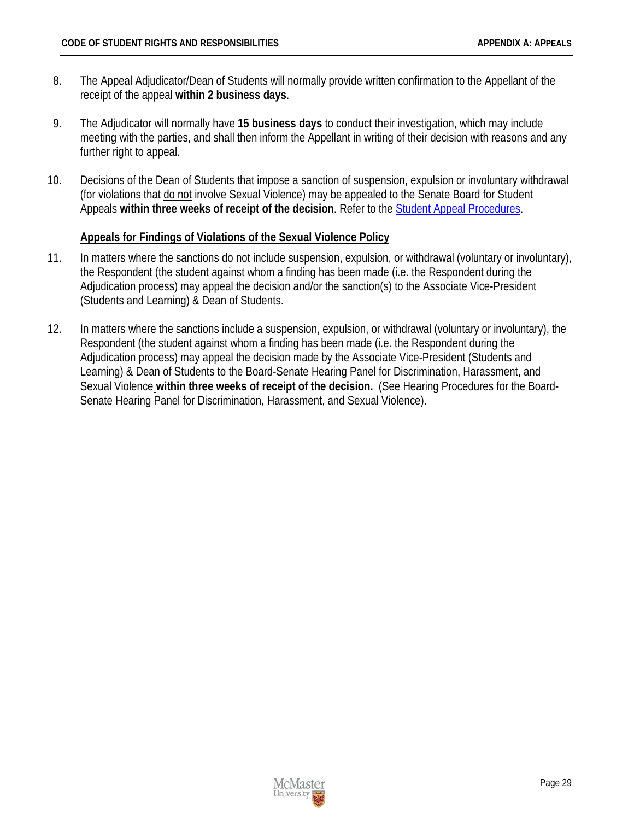- 8. The Appeal Adjudicator/Dean of Students will normally provide written confirmation to the Appellant of the receipt of the appeal **within 2 business days**.
- 9. The Adjudicator will normally have **15 business days** to conduct their investigation, which may include meeting with the parties, and shall then inform the Appellant in writing of their decision with reasons and any further right to appeal.
- 10. Decisions of the Dean of Students that impose a sanction of suspension, expulsion or involuntary withdrawal (for violations that do not involve Sexual Violence) may be appealed to the Senate Board for Student Appeals **within three weeks of receipt of the decision**. Refer to the [Student Appeal Procedures.](http://www.mcmaster.ca/policy/Students-AcademicStudies/StudentAppeal.pdf)

#### <span id="page-32-0"></span>**Appeals for Findings of Violations of the Sexual Violence Policy**

- 11. In matters where the sanctions do not include suspension, expulsion, or withdrawal (voluntary or involuntary), the Respondent (the student against whom a finding has been made (i.e. the Respondent during the Adjudication process) may appeal the decision and/or the sanction(s) to the Associate Vice-President (Students and Learning) & Dean of Students.
- 12. In matters where the sanctions include a suspension, expulsion, or withdrawal (voluntary or involuntary), the Respondent (the student against whom a finding has been made (i.e. the Respondent during the Adjudication process) may appeal the decision made by the Associate Vice-President (Students and Learning) & Dean of Students to the Board-Senate Hearing Panel for Discrimination, Harassment, and Sexual Violence **within three weeks of receipt of the decision.** (See Hearing Procedures for the Board-Senate Hearing Panel for Discrimination, Harassment, and Sexual Violence).

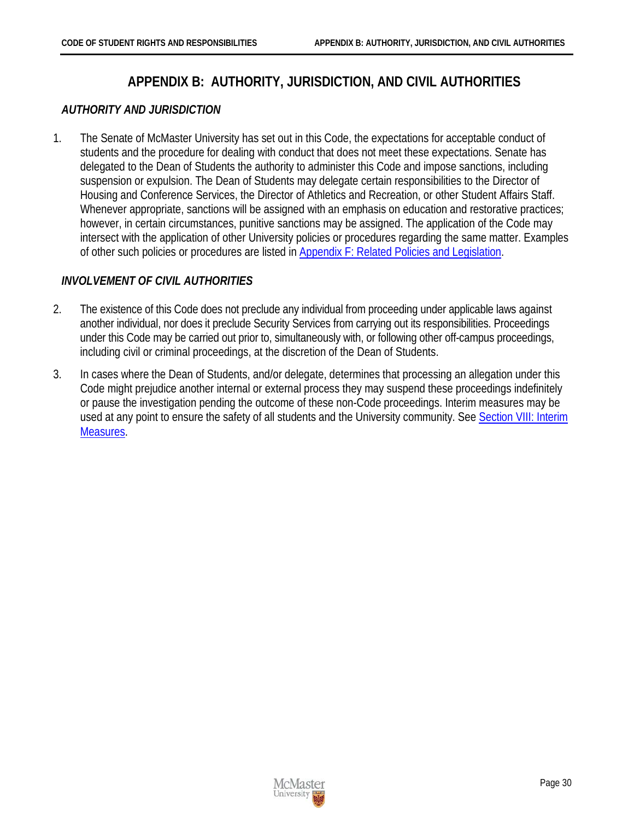# **APPENDIX B: AUTHORITY, JURISDICTION, AND CIVIL AUTHORITIES**

#### <span id="page-33-1"></span><span id="page-33-0"></span>*AUTHORITY AND JURISDICTION*

1. The Senate of McMaster University has set out in this Code, the expectations for acceptable conduct of students and the procedure for dealing with conduct that does not meet these expectations. Senate has delegated to the Dean of Students the authority to administer this Code and impose sanctions, including suspension or expulsion. The Dean of Students may delegate certain responsibilities to the Director of Housing and Conference Services, the Director of Athletics and Recreation, or other Student Affairs Staff. Whenever appropriate, sanctions will be assigned with an emphasis on education and restorative practices; however, in certain circumstances, punitive sanctions may be assigned. The application of the Code may intersect with the application of other University policies or procedures regarding the same matter. Examples of other such policies or procedures are listed in [Appendix F: Related Policies and Legislation.](#page-33-0)

### <span id="page-33-2"></span>*INVOLVEMENT OF CIVIL AUTHORITIES*

- 2. The existence of this Code does not preclude any individual from proceeding under applicable laws against another individual, nor does it preclude Security Services from carrying out its responsibilities. Proceedings under this Code may be carried out prior to, simultaneously with, or following other off-campus proceedings, including civil or criminal proceedings, at the discretion of the Dean of Students.
- 3. In cases where the Dean of Students, and/or delegate, determines that processing an allegation under this Code might prejudice another internal or external process they may suspend these proceedings indefinitely or pause the investigation pending the outcome of these non-Code proceedings. Interim measures may be used at any point to ensure the safety of all students and the University community. Se[e Section VIII: Interim](#page-26-0)  [Measures.](#page-26-0)

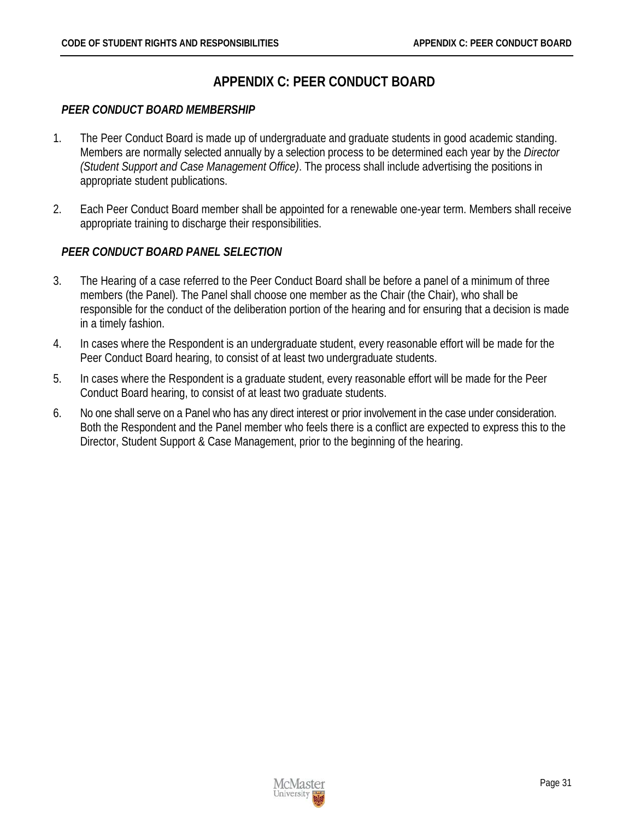# **APPENDIX C: PEER CONDUCT BOARD**

#### <span id="page-34-1"></span><span id="page-34-0"></span>*PEER CONDUCT BOARD MEMBERSHIP*

- 1. The Peer Conduct Board is made up of undergraduate and graduate students in good academic standing. Members are normally selected annually by a selection process to be determined each year by the *Director (Student Support and Case Management Office)*. The process shall include advertising the positions in appropriate student publications.
- 2. Each Peer Conduct Board member shall be appointed for a renewable one-year term. Members shall receive appropriate training to discharge their responsibilities.

#### <span id="page-34-2"></span>*PEER CONDUCT BOARD PANEL SELECTION*

- 3. The Hearing of a case referred to the Peer Conduct Board shall be before a panel of a minimum of three members (the Panel). The Panel shall choose one member as the Chair (the Chair), who shall be responsible for the conduct of the deliberation portion of the hearing and for ensuring that a decision is made in a timely fashion.
- 4. In cases where the Respondent is an undergraduate student, every reasonable effort will be made for the Peer Conduct Board hearing, to consist of at least two undergraduate students.
- 5. In cases where the Respondent is a graduate student, every reasonable effort will be made for the Peer Conduct Board hearing, to consist of at least two graduate students.
- 6. No one shall serve on a Panel who has any direct interest or prior involvement in the case under consideration. Both the Respondent and the Panel member who feels there is a conflict are expected to express this to the Director, Student Support & Case Management, prior to the beginning of the hearing.

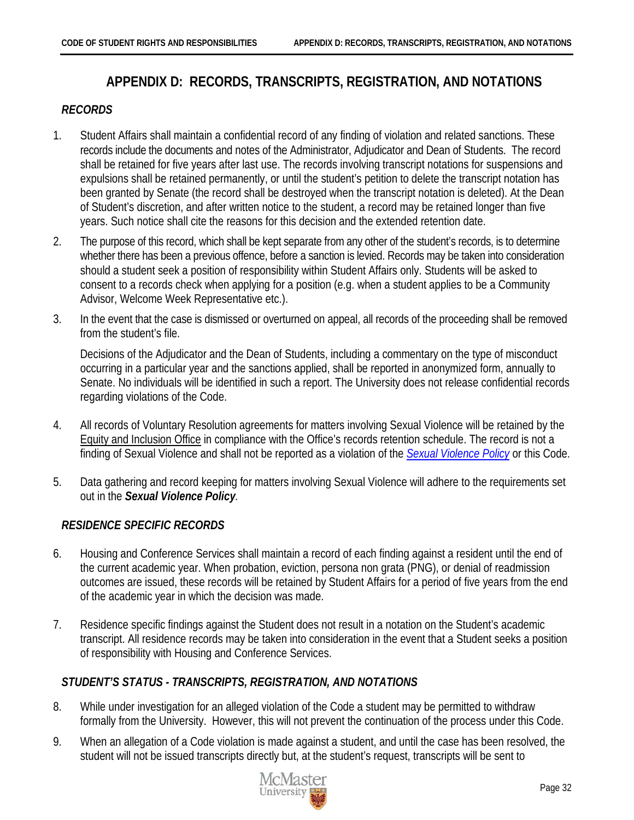# **APPENDIX D: RECORDS, TRANSCRIPTS, REGISTRATION, AND NOTATIONS**

#### <span id="page-35-1"></span><span id="page-35-0"></span>*RECORDS*

- 1. Student Affairs shall maintain a confidential record of any finding of violation and related sanctions. These records include the documents and notes of the Administrator, Adjudicator and Dean of Students. The record shall be retained for five years after last use. The records involving transcript notations for suspensions and expulsions shall be retained permanently, or until the student's petition to delete the transcript notation has been granted by Senate (the record shall be destroyed when the transcript notation is deleted). At the Dean of Student's discretion, and after written notice to the student, a record may be retained longer than five years. Such notice shall cite the reasons for this decision and the extended retention date.
- 2. The purpose of this record, which shall be kept separate from any other of the student's records, is to determine whether there has been a previous offence, before a sanction is levied. Records may be taken into consideration should a student seek a position of responsibility within Student Affairs only. Students will be asked to consent to a records check when applying for a position (e.g. when a student applies to be a Community Advisor, Welcome Week Representative etc.).
- 3. In the event that the case is dismissed or overturned on appeal, all records of the proceeding shall be removed from the student's file.

Decisions of the Adjudicator and the Dean of Students, including a commentary on the type of misconduct occurring in a particular year and the sanctions applied, shall be reported in anonymized form, annually to Senate. No individuals will be identified in such a report. The University does not release confidential records regarding violations of the Code.

- 4. All records of Voluntary Resolution agreements for matters involving Sexual Violence will be retained by the [Equity and Inclusion Office](http://hres.mcmaster.ca/) in compliance with the Office's records retention schedule. The record is not a finding of Sexual Violence and shall not be reported as a violation of the *[Sexual Violence Policy](http://www.mcmaster.ca/policy/General/HR/Sexual_Violence_Policy.pdf)* or this Code.
- 5. Data gathering and record keeping for matters involving Sexual Violence will adhere to the requirements set out in the *Sexual Violence Policy.*

#### <span id="page-35-2"></span>*RESIDENCE SPECIFIC RECORDS*

- 6. Housing and Conference Services shall maintain a record of each finding against a resident until the end of the current academic year. When probation, eviction, persona non grata (PNG), or denial of readmission outcomes are issued, these records will be retained by Student Affairs for a period of five years from the end of the academic year in which the decision was made.
- 7. Residence specific findings against the Student does not result in a notation on the Student's academic transcript. All residence records may be taken into consideration in the event that a Student seeks a position of responsibility with Housing and Conference Services.

#### <span id="page-35-3"></span>*STUDENT'S STATUS - TRANSCRIPTS, REGISTRATION, AND NOTATIONS*

- 8. While under investigation for an alleged violation of the Code a student may be permitted to withdraw formally from the University. However, this will not prevent the continuation of the process under this Code.
- 9. When an allegation of a Code violation is made against a student, and until the case has been resolved, the student will not be issued transcripts directly but, at the student's request, transcripts will be sent to

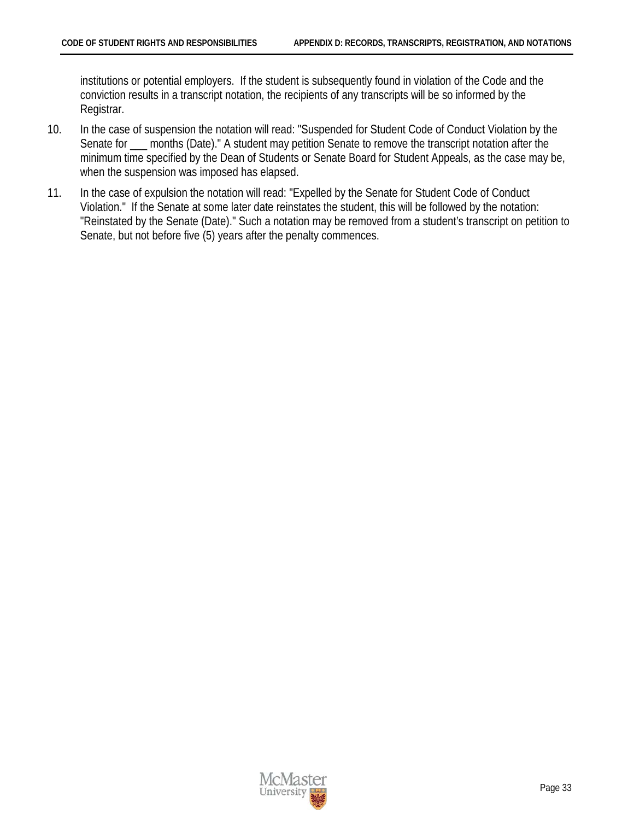institutions or potential employers. If the student is subsequently found in violation of the Code and the conviction results in a transcript notation, the recipients of any transcripts will be so informed by the Registrar.

- 10. In the case of suspension the notation will read: "Suspended for Student Code of Conduct Violation by the Senate for \_\_\_ months (Date)." A student may petition Senate to remove the transcript notation after the minimum time specified by the Dean of Students or Senate Board for Student Appeals, as the case may be, when the suspension was imposed has elapsed.
- 11. In the case of expulsion the notation will read: "Expelled by the Senate for Student Code of Conduct Violation." If the Senate at some later date reinstates the student, this will be followed by the notation: "Reinstated by the Senate (Date)." Such a notation may be removed from a student's transcript on petition to Senate, but not before five (5) years after the penalty commences.

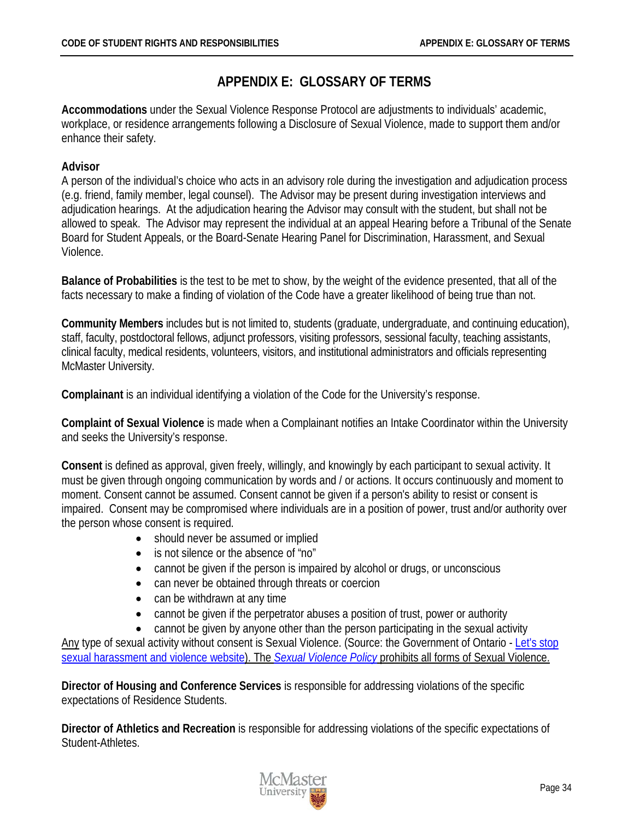# **APPENDIX E: GLOSSARY OF TERMS**

<span id="page-37-0"></span>**Accommodations** under the Sexual Violence Response Protocol are adjustments to individuals' academic, workplace, or residence arrangements following a Disclosure of Sexual Violence, made to support them and/or enhance their safety.

### <span id="page-37-2"></span>**Advisor**

A person of the individual's choice who acts in an advisory role during the investigation and adjudication process (e.g. friend, family member, legal counsel). The Advisor may be present during investigation interviews and adjudication hearings. At the adjudication hearing the Advisor may consult with the student, but shall not be allowed to speak. The Advisor may represent the individual at an appeal Hearing before a Tribunal of the Senate Board for Student Appeals, or the Board-Senate Hearing Panel for Discrimination, Harassment, and Sexual Violence.

**Balance of Probabilities** is the test to be met to show, by the weight of the evidence presented, that all of the facts necessary to make a finding of violation of the Code have a greater likelihood of being true than not.

<span id="page-37-1"></span>**Community Members** includes but is not limited to, students (graduate, undergraduate, and continuing education), staff, faculty, postdoctoral fellows, adjunct professors, visiting professors, sessional faculty, teaching assistants, clinical faculty, medical residents, volunteers, visitors, and institutional administrators and officials representing McMaster University.

**Complainant** is an individual identifying a violation of the Code for the University's response.

**Complaint of Sexual Violence** is made when a Complainant notifies an Intake Coordinator within the University and seeks the University's response.

**Consent** is defined as approval, given freely, willingly, and knowingly by each participant to sexual activity. It must be given through ongoing communication by words and / or actions. It occurs continuously and moment to moment. Consent cannot be assumed. Consent cannot be given if a person's ability to resist or consent is impaired. Consent may be compromised where individuals are in a position of power, trust and/or authority over the person whose consent is required.

- should never be assumed or implied
- is not silence or the absence of "no"
- cannot be given if the person is impaired by alcohol or drugs, or unconscious
- can never be obtained through threats or coercion
- can be withdrawn at any time
- cannot be given if the perpetrator abuses a position of trust, power or authority
- cannot be given by anyone other than the person participating in the sexual activity

Any type of sexual activity without consent is Sexual Violence. (Source: the Government of Ontario - Let's stop [sexual harassment and violence website\)](https://www.ontario.ca/page/lets-stop-sexual-harassment-and-violence#section-2). The *[Sexual Violence Policy](http://www.mcmaster.ca/policy/General/HR/Sexual_Violence_Policy.pdf)* prohibits all forms of Sexual Violence.

**Director of Housing and Conference Services** is responsible for addressing violations of the specific expectations of Residence Students.

**Director of Athletics and Recreation** is responsible for addressing violations of the specific expectations of Student-Athletes.

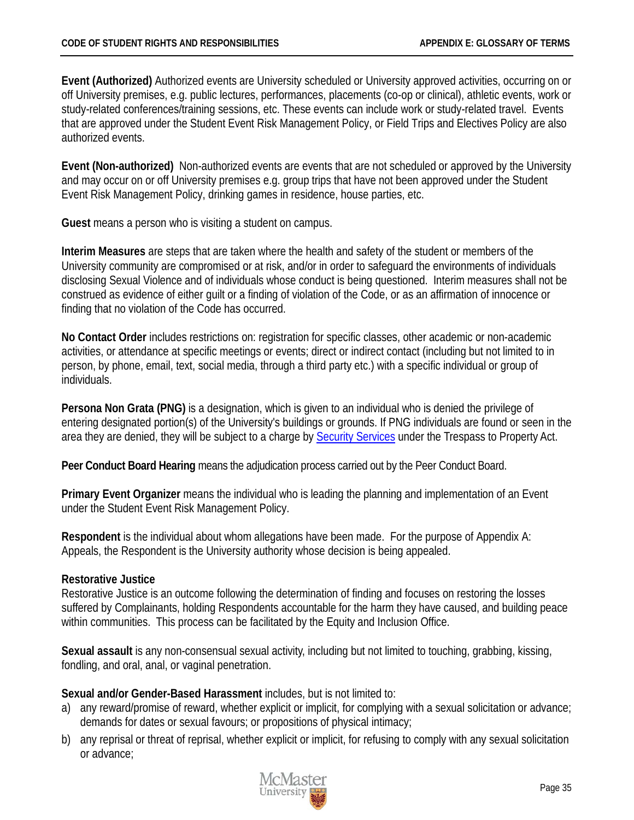**Event (Authorized)** Authorized events are University scheduled or University approved activities, occurring on or off University premises, e.g. public lectures, performances, placements (co-op or clinical), athletic events, work or study-related conferences/training sessions, etc. These events can include work or study-related travel. Events that are approved under the Student Event Risk Management Policy, or Field Trips and Electives Policy are also authorized events.

**Event (Non-authorized)** Non-authorized events are events that are not scheduled or approved by the University and may occur on or off University premises e.g. group trips that have not been approved under the Student Event Risk Management Policy, drinking games in residence, house parties, etc.

**Guest** means a person who is visiting a student on campus.

**Interim Measures** are steps that are taken where the health and safety of the student or members of the University community are compromised or at risk, and/or in order to safeguard the environments of individuals disclosing Sexual Violence and of individuals whose conduct is being questioned. Interim measures shall not be construed as evidence of either guilt or a finding of violation of the Code, or as an affirmation of innocence or finding that no violation of the Code has occurred.

**No Contact Order** includes restrictions on: registration for specific classes, other academic or non-academic activities, or attendance at specific meetings or events; direct or indirect contact (including but not limited to in person, by phone, email, text, social media, through a third party etc.) with a specific individual or group of individuals.

**Persona Non Grata (PNG)** is a designation, which is given to an individual who is denied the privilege of entering designated portion(s) of the University's buildings or grounds. If PNG individuals are found or seen in the area they are denied, they will be subject to a charge by [Security Services](http://security.mcmaster.ca/) under the Trespass to Property Act.

**Peer Conduct Board Hearing** means the adjudication process carried out by the Peer Conduct Board.

**Primary Event Organizer** means the individual who is leading the planning and implementation of an Event under the Student Event Risk Management Policy.

**Respondent** is the individual about whom allegations have been made. For the purpose of Appendix A: Appeals, the Respondent is the University authority whose decision is being appealed.

#### <span id="page-38-0"></span>**Restorative Justice**

Restorative Justice is an outcome following the determination of finding and focuses on restoring the losses suffered by Complainants, holding Respondents accountable for the harm they have caused, and building peace within communities. This process can be facilitated by the Equity and Inclusion Office.

**Sexual assault** is any non-consensual sexual activity, including but not limited to touching, grabbing, kissing, fondling, and oral, anal, or vaginal penetration.

**Sexual and/or Gender-Based Harassment** includes, but is not limited to:

- a) any reward/promise of reward, whether explicit or implicit, for complying with a sexual solicitation or advance; demands for dates or sexual favours; or propositions of physical intimacy;
- b) any reprisal or threat of reprisal, whether explicit or implicit, for refusing to comply with any sexual solicitation or advance;

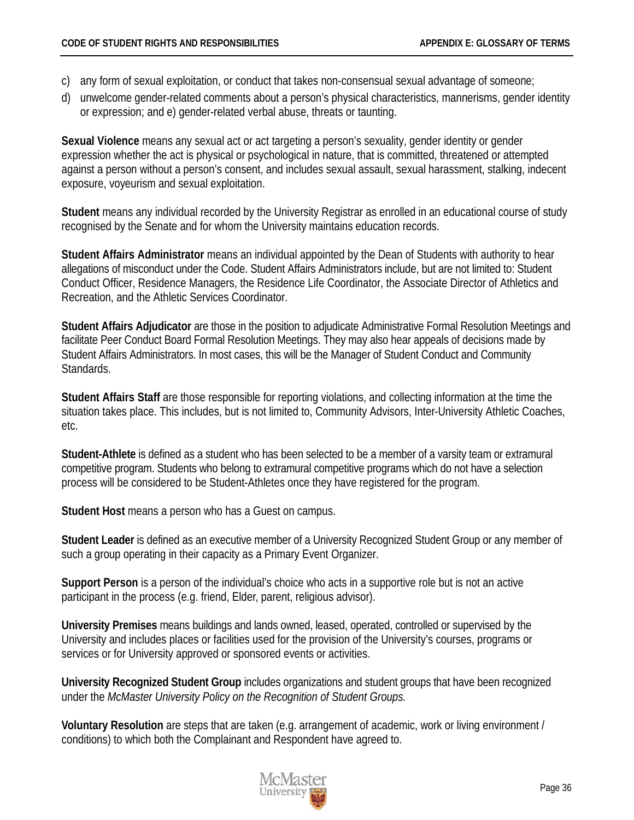- c) any form of sexual exploitation, or conduct that takes non-consensual sexual advantage of someone;
- d) unwelcome gender-related comments about a person's physical characteristics, mannerisms, gender identity or expression; and e) gender-related verbal abuse, threats or taunting.

<span id="page-39-0"></span>**Sexual Violence** means any sexual act or act targeting a person's sexuality, gender identity or gender expression whether the act is physical or psychological in nature, that is committed, threatened or attempted against a person without a person's consent, and includes sexual assault, sexual harassment, stalking, indecent exposure, voyeurism and sexual exploitation.

**Student** means any individual recorded by the University Registrar as enrolled in an educational course of study recognised by the Senate and for whom the University maintains education records.

**Student Affairs Administrator** means an individual appointed by the Dean of Students with authority to hear allegations of misconduct under the Code. Student Affairs Administrators include, but are not limited to: Student Conduct Officer, Residence Managers, the Residence Life Coordinator, the Associate Director of Athletics and Recreation, and the Athletic Services Coordinator.

**Student Affairs Adjudicator** are those in the position to adjudicate Administrative Formal Resolution Meetings and facilitate Peer Conduct Board Formal Resolution Meetings. They may also hear appeals of decisions made by Student Affairs Administrators. In most cases, this will be the Manager of Student Conduct and Community Standards.

**Student Affairs Staff** are those responsible for reporting violations, and collecting information at the time the situation takes place. This includes, but is not limited to, Community Advisors, Inter-University Athletic Coaches, etc.

**Student-Athlete** is defined as a student who has been selected to be a member of a varsity team or extramural competitive program. Students who belong to extramural competitive programs which do not have a selection process will be considered to be Student-Athletes once they have registered for the program.

**Student Host** means a person who has a Guest on campus.

**Student Leader** is defined as an executive member of a University Recognized Student Group or any member of such a group operating in their capacity as a Primary Event Organizer.

<span id="page-39-1"></span>**Support Person** is a person of the individual's choice who acts in a supportive role but is not an active participant in the process (e.g. friend, Elder, parent, religious advisor).

**University Premises** means buildings and lands owned, leased, operated, controlled or supervised by the University and includes places or facilities used for the provision of the University's courses, programs or services or for University approved or sponsored events or activities.

**University Recognized Student Group** includes organizations and student groups that have been recognized under the *McMaster University Policy on the Recognition of Student Groups.*

**Voluntary Resolution** are steps that are taken (e.g. arrangement of academic, work or living environment / conditions) to which both the Complainant and Respondent have agreed to.